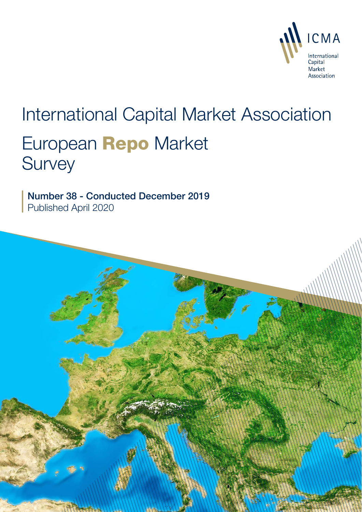

# International Capital Market Association European Repo Market **Survey**

Number 38 - Conducted December 2019 Published April 2020

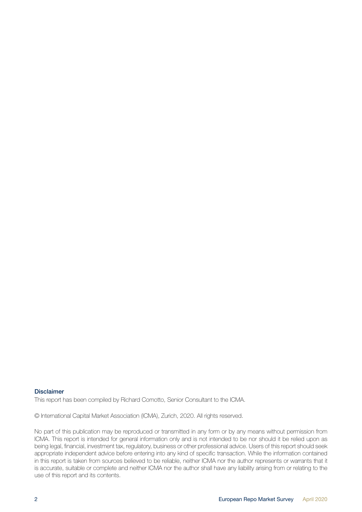#### Disclaimer

This report has been compiled by Richard Comotto, Senior Consultant to the ICMA.

© International Capital Market Association (ICMA), Zurich, 2020. All rights reserved.

No part of this publication may be reproduced or transmitted in any form or by any means without permission from ICMA. This report is intended for general information only and is not intended to be nor should it be relied upon as being legal, financial, investment tax, regulatory, business or other professional advice. Users of this report should seek appropriate independent advice before entering into any kind of specific transaction. While the information contained in this report is taken from sources believed to be reliable, neither ICMA nor the author represents or warrants that it is accurate, suitable or complete and neither ICMA nor the author shall have any liability arising from or relating to the use of this report and its contents.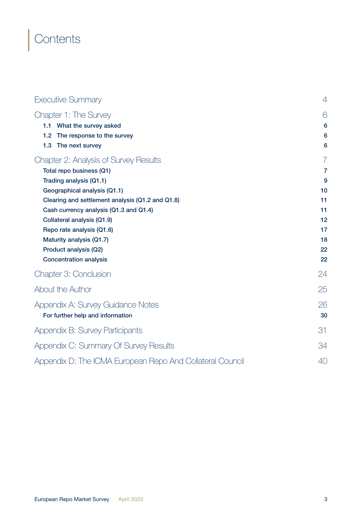## **Contents**

| <b>Executive Summary</b>                                  | $\overline{4}$ |
|-----------------------------------------------------------|----------------|
| Chapter 1: The Survey                                     | 6              |
| 1.1 What the survey asked                                 | 6              |
| The response to the survey<br>1.2                         | 6              |
| The next survey<br>1.3                                    | 6              |
| Chapter 2: Analysis of Survey Results                     | 7              |
| Total repo business (Q1)                                  | $\overline{7}$ |
| Trading analysis (Q1.1)                                   | 9              |
| Geographical analysis (Q1.1)                              | 10             |
| Clearing and settlement analysis (Q1.2 and Q1.8)          | 11             |
| Cash currency analysis (Q1.3 and Q1.4)                    | 11             |
| Collateral analysis (Q1.9)                                | 12             |
| Repo rate analysis (Q1.6)                                 | 17             |
| Maturity analysis (Q1.7)                                  | 18<br>22       |
| Product analysis (Q2)<br><b>Concentration analysis</b>    | 22             |
|                                                           |                |
| Chapter 3: Conclusion                                     | 24             |
| About the Author                                          | 25             |
| Appendix A: Survey Guidance Notes                         | 26             |
| For further help and information                          | 30             |
| Appendix B: Survey Participants                           | 31             |
| Appendix C: Summary Of Survey Results                     | 34             |
| Appendix D: The ICMA European Repo And Collateral Council | 40             |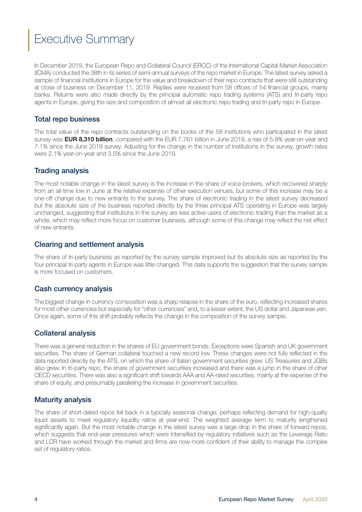## <span id="page-3-0"></span>Executive Summary

In December 2019, the European Repo and Collateral Council (ERCC) of the International Capital Market Association (ICMA) conducted the 38th in its series of semi-annual surveys of the repo market in Europe. The latest survey asked a sample of financial institutions in Europe for the value and breakdown of their repo contracts that were still outstanding at close of business on December 11, 2019. Replies were received from 58 offices of 54 financial groups, mainly banks. Returns were also made directly by the principal automatic repo trading systems (ATS) and tri-party repo agents in Europe, giving the size and composition of almost all electronic repo trading and tri-party repo in Europe.

### Total repo business

The total value of the repo contracts outstanding on the books of the 58 institutions who participated in the latest survey was **EUR 8,310 billion**, compared with the EUR 7,761 billion in June 2019, a rise of 5.9% year-on-year and 7.1% since the June 2019 survey. Adjusting for the change in the number of institutions in the survey, growth rates were 2.1% year-on-year and 3.5% since the June 2019.

#### Trading analysis

The most notable change in the latest survey is the increase in the share of voice-brokers, which recovered sharply from an all-time low in June at the relative expense of other execution venues, but some of this increase may be a one-off change due to new entrants to the survey. The share of electronic trading in the latest survey decreased but the absolute size of the business reported directly by the three principal ATS operating in Europe was largely unchanged, suggesting that institutions in the survey are less active users of electronic trading than the market as a whole, which may reflect more focus on customer business, although some of this change may reflect the net effect of new entrants.

#### Clearing and settlement analysis

The share of tri-party business as reported by the survey sample improved but its absolute size as reported by the four principal tri-party agents in Europe was little changed. This data supports the suggestion that the survey sample is more focused on customers.

#### Cash currency analysis

The biggest change in currency composition was a sharp relapse in the share of the euro, reflecting increased shares for most other currencies but especially for "other currencies" and, to a lesser extent, the US dollar and Japanese yen. Once again, some of this shift probably reflects the change in the composition of the survey sample.

#### Collateral analysis

There was a general reduction in the shares of EU government bonds. Exceptions were Spanish and UK government securities. The share of German collateral touched a new record low. These changes were not fully reflected in the data reported directly by the ATS, on which the share of Italian government securities grew. US Treasuries and JGBs also grew. In tri-party repo, the share of government securities increased and there was a jump in the share of other OECD securities. There was also a significant shift towards AAA and AA-rated securities, mainly at the expense of the share of equity, and presumably paralleling the increase in government securities.

#### Maturity analysis

The share of short-dated repos fell back in a typically seasonal change, perhaps reflecting demand for high-quality liquid assets to meet regulatory liquidity ratios at year-end. The weighted average term to maturity lengthened significantly again. But the most notable change in the latest survey was a large drop in the share of forward repos, which suggests that end-year pressures which were intensified by regulatory initiatives such as the Leverage Ratio and LCR have worked through the market and firms are now more confident of their ability to manage the complex set of regulatory ratios.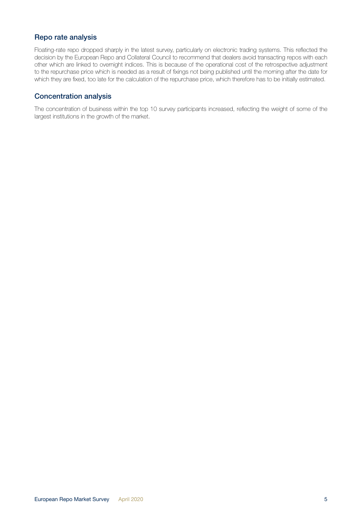#### Repo rate analysis

Floating-rate repo dropped sharply in the latest survey, particularly on electronic trading systems. This reflected the decision by the European Repo and Collateral Council to recommend that dealers avoid transacting repos with each other which are linked to overnight indices. This is because of the operational cost of the retrospective adjustment to the repurchase price which is needed as a result of fixings not being published until the morning after the date for which they are fixed, too late for the calculation of the repurchase price, which therefore has to be initially estimated.

#### Concentration analysis

The concentration of business within the top 10 survey participants increased, reflecting the weight of some of the largest institutions in the growth of the market.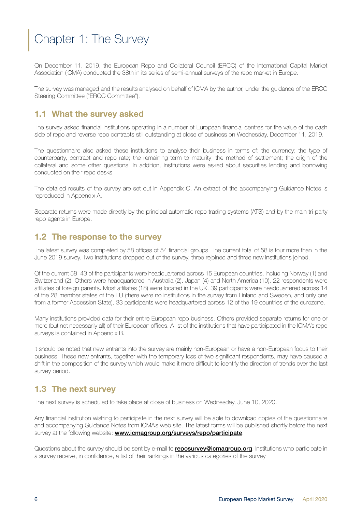## <span id="page-5-0"></span>Chapter 1: The Survey

On December 11, 2019, the European Repo and Collateral Council (ERCC) of the International Capital Market Association (ICMA) conducted the 38th in its series of semi-annual surveys of the repo market in Europe.

The survey was managed and the results analysed on behalf of ICMA by the author, under the guidance of the ERCC Steering Committee ("ERCC Committee").

## 1.1 What the survey asked

The survey asked financial institutions operating in a number of European financial centres for the value of the cash side of repo and reverse repo contracts still outstanding at close of business on Wednesday, December 11, 2019.

The questionnaire also asked these institutions to analyse their business in terms of: the currency; the type of counterparty, contract and repo rate; the remaining term to maturity; the method of settlement; the origin of the collateral and some other questions. In addition, institutions were asked about securities lending and borrowing conducted on their repo desks.

The detailed results of the survey are set out in Appendix C. An extract of the accompanying Guidance Notes is reproduced in Appendix A.

Separate returns were made directly by the principal automatic repo trading systems (ATS) and by the main tri-party repo agents in Europe.

## 1.2 The response to the survey

The latest survey was completed by 58 offices of 54 financial groups. The current total of 58 is four more than in the June 2019 survey. Two institutions dropped out of the survey, three rejoined and three new institutions joined.

Of the current 58, 43 of the participants were headquartered across 15 European countries, including Norway (1) and Switzerland (2). Others were headquartered in Australia (2), Japan (4) and North America (10). 22 respondents were affiliates of foreign parents. Most affiliates (18) were located in the UK. 39 participants were headquartered across 14 of the 28 member states of the EU (there were no institutions in the survey from Finland and Sweden, and only one from a former Accession State). 33 participants were headquartered across 12 of the 19 countries of the eurozone.

Many institutions provided data for their entire European repo business. Others provided separate returns for one or more (but not necessarily all) of their European offices. A list of the institutions that have participated in the ICMA's repo surveys is contained in Appendix B.

It should be noted that new entrants into the survey are mainly non-European or have a non-European focus to their business. These new entrants, together with the temporary loss of two significant respondents, may have caused a shift in the composition of the survey which would make it more difficult to identify the direction of trends over the last survey period.

## 1.3 The next survey

The next survey is scheduled to take place at close of business on Wednesday, June 10, 2020.

Any financial institution wishing to participate in the next survey will be able to download copies of the questionnaire and accompanying Guidance Notes from ICMA's web site. The latest forms will be published shortly before the next survey at the following website: **[www.icmagroup.org/surveys/repo/participate](http://www.icmagroup.org/surveys/repo/participate)**.

Questions about the survey should be sent by e-mail to **reposurvey@icmagroup.org**. Institutions who participate in a survey receive, in confidence, a list of their rankings in the various categories of the survey.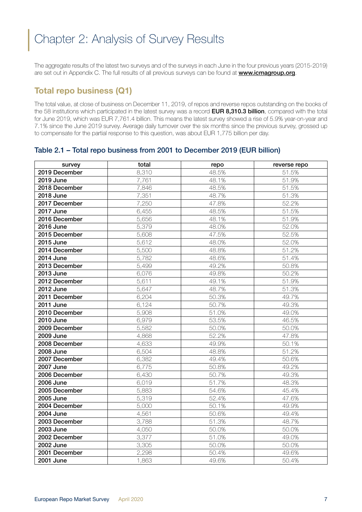## <span id="page-6-0"></span>Chapter 2: Analysis of Survey Results

The aggregate results of the latest two surveys and of the surveys in each June in the four previous years (2015-2019) are set out in Appendix C. The full results of all previous surveys can be found at [www.icmagroup.org](http://www.icmagroup.org).

## Total repo business (Q1)

The total value, at close of business on December 11, 2019, of repos and reverse repos outstanding on the books of the 58 institutions which participated in the latest survey was a record EUR 8,310.3 billion, compared with the total for June 2019, which was EUR 7,761.4 billion. This means the latest survey showed a rise of 5.9% year-on-year and 7.1% since the June 2019 survey. Average daily turnover over the six months since the previous survey, grossed up to compensate for the partial response to this question, was about EUR 1,775 billion per day.

#### Table 2.1 – Total repo business from 2001 to December 2019 (EUR billion)

| survey           | total | repo  | reverse repo |
|------------------|-------|-------|--------------|
| 2019 December    | 8,310 | 48.5% | 51.5%        |
| <b>2019 June</b> | 7,761 | 48.1% | 51.9%        |
| 2018 December    | 7,846 | 48.5% | 51.5%        |
| 2018 June        | 7,351 | 48.7% | 51.3%        |
| 2017 December    | 7,250 | 47.8% | 52.2%        |
| <b>2017 June</b> | 6,455 | 48.5% | 51.5%        |
| 2016 December    | 5,656 | 48.1% | 51.9%        |
| <b>2016 June</b> | 5,379 | 48.0% | 52.0%        |
| 2015 December    | 5,608 | 47.5% | 52.5%        |
| 2015 June        | 5,612 | 48.0% | 52.0%        |
| 2014 December    | 5,500 | 48.8% | 51.2%        |
| 2014 June        | 5,782 | 48.6% | 51.4%        |
| 2013 December    | 5,499 | 49.2% | 50.8%        |
| 2013 June        | 6,076 | 49.8% | 50.2%        |
| 2012 December    | 5,611 | 49.1% | 51.9%        |
| <b>2012 June</b> | 5,647 | 48.7% | 51.3%        |
| 2011 December    | 6,204 | 50.3% | 49.7%        |
| <b>2011 June</b> | 6,124 | 50.7% | 49.3%        |
| 2010 December    | 5,908 | 51.0% | 49.0%        |
| 2010 June        | 6,979 | 53.5% | 46.5%        |
| 2009 December    | 5,582 | 50.0% | 50.0%        |
| <b>2009 June</b> | 4,868 | 52.2% | 47.8%        |
| 2008 December    | 4,633 | 49.9% | 50.1%        |
| <b>2008 June</b> | 6,504 | 48.8% | 51.2%        |
| 2007 December    | 6,382 | 49.4% | 50.6%        |
| 2007 June        | 6,775 | 50.8% | 49.2%        |
| 2006 December    | 6,430 | 50.7% | 49.3%        |
| <b>2006 June</b> | 6,019 | 51.7% | 48.3%        |
| 2005 December    | 5,883 | 54.6% | 45.4%        |
| 2005 June        | 5,319 | 52.4% | 47.6%        |
| 2004 December    | 5,000 | 50.1% | 49.9%        |
| <b>2004 June</b> | 4,561 | 50.6% | 49.4%        |
| 2003 December    | 3,788 | 51.3% | 48.7%        |
| 2003 June        | 4,050 | 50.0% | 50.0%        |
| 2002 December    | 3,377 | 51.0% | 49.0%        |
| 2002 June        | 3,305 | 50.0% | 50.0%        |
| 2001 December    | 2,298 | 50.4% | 49.6%        |
| 2001 June        | 1,863 | 49.6% | 50.4%        |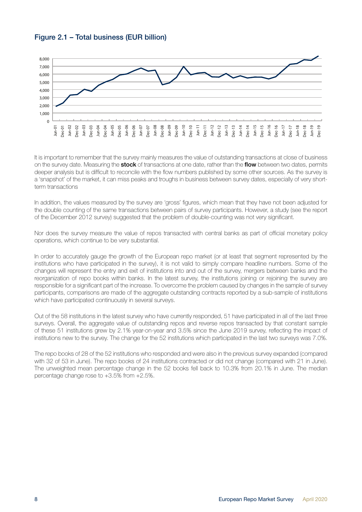#### Figure 2.1 – Total business (EUR billion)



It is important to remember that the survey mainly measures the value of outstanding transactions at close of business on the survey date. Measuring the stock of transactions at one date, rather than the flow between two dates, permits deeper analysis but is difficult to reconcile with the flow numbers published by some other sources. As the survey is a 'snapshot' of the market, it can miss peaks and troughs in business between survey dates, especially of very shortterm transactions

In addition, the values measured by the survey are 'gross' figures, which mean that they have not been adjusted for the double counting of the same transactions between pairs of survey participants. However, a study (see the report of the December 2012 survey) suggested that the problem of double-counting was not very significant.

Nor does the survey measure the value of repos transacted with central banks as part of official monetary policy operations, which continue to be very substantial.

In order to accurately gauge the growth of the European repo market (or at least that segment represented by the institutions who have participated in the survey), it is not valid to simply compare headline numbers. Some of the changes will represent the entry and exit of institutions into and out of the survey, mergers between banks and the reorganization of repo books within banks. In the latest survey, the institutions joining or rejoining the survey are responsible for a significant part of the increase. To overcome the problem caused by changes in the sample of survey participants, comparisons are made of the aggregate outstanding contracts reported by a sub-sample of institutions which have participated continuously in several surveys.

Out of the 58 institutions in the latest survey who have currently responded, 51 have participated in all of the last three surveys. Overall, the aggregate value of outstanding repos and reverse repos transacted by that constant sample of these 51 institutions grew by 2.1% year-on-year and 3.5% since the June 2019 survey, reflecting the impact of institutions new to the survey. The change for the 52 institutions which participated in the last two surveys was 7.0%.

The repo books of 28 of the 52 institutions who responded and were also in the previous survey expanded (compared with 32 of 53 in June). The repo books of 24 institutions contracted or did not change (compared with 21 in June). The unweighted mean percentage change in the 52 books fell back to 10.3% from 20.1% in June. The median percentage change rose to +3.5% from +2.5%.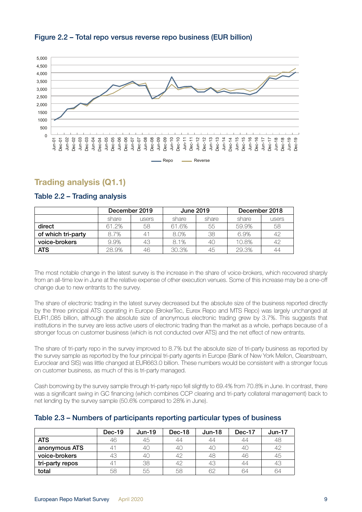

#### <span id="page-8-0"></span>Figure 2.2 – Total repo versus reverse repo business (EUR billion)

## Trading analysis (Q1.1)

|                    | December 2019 |       | <b>June 2019</b> |       | December 2018 |       |
|--------------------|---------------|-------|------------------|-------|---------------|-------|
|                    | share         | users | share            | share | share         | users |
| direct             | 61.2%         | 58    | 61.6%            | 55    | 59.9%         | 58    |
| of which tri-party | 8.7%          | $4^1$ | 8.0%             | 38    | 6.9%          | 42    |
| voice-brokers      | 9.9%          | 43    | 8.1%             |       | 10.8%         | 42    |
| <b>ATS</b>         | 28.9%         | 46    | 30.3%            | 45.   | 29.3%         | 44    |

#### Table 2.2 – Trading analysis

The most notable change in the latest survey is the increase in the share of voice-brokers, which recovered sharply from an all-time low in June at the relative expense of other execution venues. Some of this increase may be a one-off change due to new entrants to the survey.

The share of electronic trading in the latest survey decreased but the absolute size of the business reported directly by the three principal ATS operating in Europe (BrokerTec, Eurex Repo and MTS Repo) was largely unchanged at EUR1,085 billion, although the absolute size of anonymous electronic trading grew by 3.7%. This suggests that institutions in the survey are less active users of electronic trading than the market as a whole, perhaps because of a stronger focus on customer business (which is not conducted over ATS) and the net effect of new entrants.

The share of tri-party repo in the survey improved to 8.7% but the absolute size of tri-party business as reported by the survey sample as reported by the four principal tri-party agents in Europe (Bank of New York Mellon, Clearstream, Euroclear and SIS) was little changed at EUR663.0 billion. These numbers would be consistent with a stronger focus on customer business, as much of this is tri-party managed.

Cash borrowing by the survey sample through tri-party repo fell slightly to 69.4% from 70.8% in June. In contrast, there was a significant swing in GC financing (which combines CCP clearing and tri-party collateral management) back to net lending by the survey sample (50.6% compared to 28% in June).

|                 | $Dec-19$ | $Jun-19$ | Dec-18 | $Jun-18$ | Dec-17 | $Jun-17$ |
|-----------------|----------|----------|--------|----------|--------|----------|
| <b>ATS</b>      | 46       | 45       | 44     | 44       | 44     | 48       |
| anonymous ATS   | 41       | 40       | 40     | 40       |        | 42       |
| voice-brokers   | 43       | 40       | 42     | 48       | 46     | 45       |
| tri-party repos | 41       | 38       | 42     | 43       | 44     | 43       |
| total           | 58       | 55       | 58     | 62       | 64     | 64       |

#### Table 2.3 – Numbers of participants reporting particular types of business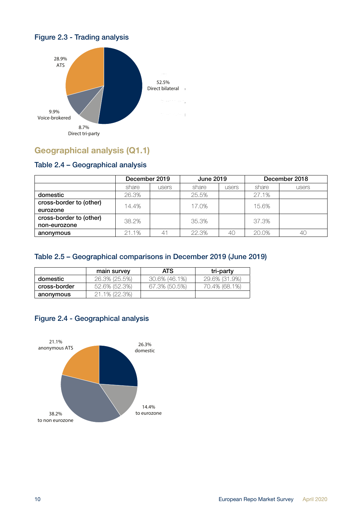

## <span id="page-9-0"></span>Figure 2.3 - Trading analysis

## Geographical analysis (Q1.1)

## Table 2.4 – Geographical analysis

|                         | December 2019 |                | <b>June 2019</b> |       |       | December 2018 |
|-------------------------|---------------|----------------|------------------|-------|-------|---------------|
|                         | share         | users          | share            | users | share | users         |
| domestic                | 26.3%         |                | 25.5%            |       | 27.1% |               |
| cross-border to (other) | 14.4%         |                | 17.0%            |       | 15.6% |               |
| eurozone                |               |                |                  |       |       |               |
| cross-border to (other) | 38.2%         |                | 35.3%            |       | 37.3% |               |
| non-eurozone            |               |                |                  |       |       |               |
| anonymous               | 21.1%         | 4 <sup>1</sup> | 22.3%            | 4C    | 20.0% | 4C            |

### Table 2.5 – Geographical comparisons in December 2019 (June 2019)

|              | main survey   | ATS           | tri-party     |
|--------------|---------------|---------------|---------------|
| domestic     | 26.3% (25.5%) | 30.6% (46.1%) | 29.6% (31.9%) |
| cross-border | 52.6% (52.3%) | 67.3% (50.5%) | 70.4% (68.1%) |
| anonymous    | 21.1% (22.3%) |               |               |



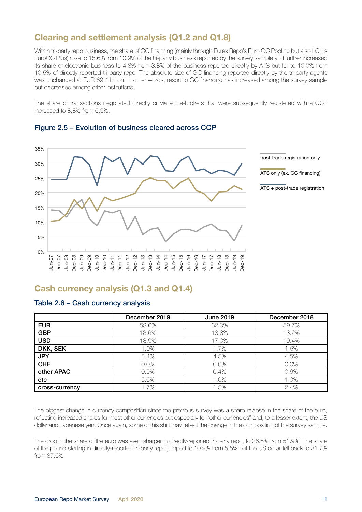## <span id="page-10-0"></span>Clearing and settlement analysis (Q1.2 and Q1.8)

Within tri-party repo business, the share of GC financing (mainly through Eurex Repo's Euro GC Pooling but also LCH's EuroGC Plus) rose to 15.6% from 10.9% of the tri-party business reported by the survey sample and further increased its share of electronic business to 4.3% from 3.8% of the business reported directly by ATS but fell to 10.0% from 10.5% of directly-reported tri-party repo. The absolute size of GC financing reported directly by the tri-party agents was unchanged at EUR 69.4 billion. In other words, resort to GC financing has increased among the survey sample but decreased among other institutions.

The share of transactions negotiated directly or via voice-brokers that were subsequently registered with a CCP increased to 8.8% from 6.9%.



#### Figure 2.5 – Evolution of business cleared across CCP

## Cash currency analysis (Q1.3 and Q1.4)

#### Table 2.6 – Cash currency analysis

|                | December 2019 | <b>June 2019</b> | December 2018 |
|----------------|---------------|------------------|---------------|
| <b>EUR</b>     | 53.6%         | 62.0%            | 59.7%         |
| <b>GBP</b>     | 13.6%         | 13.3%            | 13.2%         |
| <b>USD</b>     | 18.9%         | 17.0%            | 19.4%         |
| DKK, SEK       | 1.9%          | 1.7%             | 1.6%          |
| <b>JPY</b>     | 5.4%          | 4.5%             | 4.5%          |
| <b>CHF</b>     | 0.0%          | 0.0%             | 0.0%          |
| other APAC     | 0.9%          | 0.4%             | 0.6%          |
| etc            | 5.6%          | 1.0%             | 1.0%          |
| cross-currency | 1.7%          | 1.5%             | 2.4%          |

The biggest change in currency composition since the previous survey was a sharp relapse in the share of the euro, reflecting increased shares for most other currencies but especially for "other currencies" and, to a lesser extent, the US dollar and Japanese yen. Once again, some of this shift may reflect the change in the composition of the survey sample.

The drop in the share of the euro was even sharper in directly-reported tri-party repo, to 36.5% from 51.9%. The share of the pound sterling in directly-reported tri-party repo jumped to 10.9% from 5.5% but the US dollar fell back to 31.7% from 37.6%.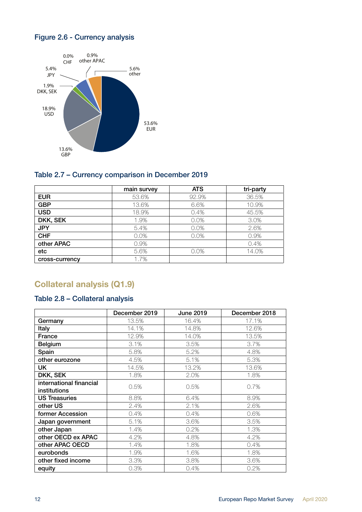## <span id="page-11-0"></span>Figure 2.6 - Currency analysis



#### Table 2.7 – Currency comparison in December 2019

|                | main survey | <b>ATS</b> | tri-party |
|----------------|-------------|------------|-----------|
| <b>EUR</b>     | 53.6%       | 92.9%      | 36.5%     |
| <b>GBP</b>     | 13.6%       | 6.6%       | 10.9%     |
| <b>USD</b>     | 18.9%       | 0.4%       | 45.5%     |
| DKK, SEK       | 1.9%        | 0.0%       | 3.0%      |
| <b>JPY</b>     | 5.4%        | 0.0%       | 2.6%      |
| <b>CHF</b>     | 0.0%        | 0.0%       | 0.9%      |
| other APAC     | 0.9%        |            | 0.4%      |
| etc            | 5.6%        | 0.0%       | 14.0%     |
| cross-currency | 1.7%        |            |           |

## Collateral analysis (Q1.9)

## Table 2.8 – Collateral analysis

|                         | December 2019 | <b>June 2019</b> | December 2018 |
|-------------------------|---------------|------------------|---------------|
| Germany                 | 13.5%         | 16.4%            | 17.1%         |
| Italy                   | 14.1%         | 14.8%            | 12.6%         |
| France                  | 12.9%         | 14.0%            | 13.5%         |
| <b>Belgium</b>          | 3.1%          | 3.5%             | 3.7%          |
| Spain                   | 5.8%          | 5.2%             | 4.8%          |
| other eurozone          | 4.5%          | 5.1%             | 5.3%          |
| UK                      | 14.5%         | 13.2%            | 13.6%         |
| DKK, SEK                | 1.8%          | 2.0%             | 1.8%          |
| international financial | 0.5%          | 0.5%             | 0.7%          |
| institutions            |               |                  |               |
| <b>US Treasuries</b>    | 8.8%          | 6.4%             | 8.9%          |
| other US                | 2.4%          | 2.1%             | 2.6%          |
| former Accession        | 0.4%          | 0.4%             | 0.6%          |
| Japan government        | 5.1%          | 3.6%             | 3.5%          |
| other Japan             | 1.4%          | 0.2%             | 1.3%          |
| other OECD ex APAC      | 4.2%          | 4.8%             | 4.2%          |
| other APAC OECD         | 1.4%          | 1.8%             | 0.4%          |
| eurobonds               | 1.9%          | 1.6%             | 1.8%          |
| other fixed income      | 3.3%          | 3.8%             | 3.6%          |
| equity                  | 0.3%          | 0.4%             | 0.2%          |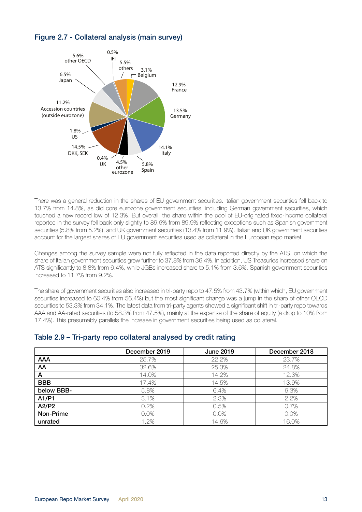

## Figure 2.7 - Collateral analysis (main survey)

There was a general reduction in the shares of EU government securities. Italian government securities fell back to 13.7% from 14.8%, as did core eurozone government securities, including German government securities, which touched a new record low of 12.3%. But overall, the share within the pool of EU-originated fixed-income collateral reported in the survey fell back only slightly to 89.6% from 89.9%,reflecting exceptions such as Spanish government securities (5.8% from 5.2%), and UK government securities (13.4% from 11.9%). Italian and UK government securities account for the largest shares of EU government securities used as collateral in the European repo market.

Changes among the survey sample were not fully reflected in the data reported directly by the ATS, on which the share of Italian government securities grew further to 37.8% from 36.4%. In addition, US Treasuries increased share on ATS significantly to 8.8% from 6.4%, while JGBs increased share to 5.1% from 3.6%. Spanish government securities increased to 11.7% from 9.2%.

The share of government securities also increased in tri-party repo to 47.5% from 43.7% (within which, EU government securities increased to 60.4% from 56.4%) but the most significant change was a jump in the share of other OECD securities to 53.3% from 34.1%. The latest data from tri-party agents showed a significant shift in tri-party repo towards AAA and AA-rated securities (to 58.3% from 47.5%), mainly at the expense of the share of equity (a drop to 10% from 17.4%). This presumably parallels the increase in government securities being used as collateral.

#### Table 2.9 – Tri-party repo collateral analysed by credit rating

|            | December 2019 | <b>June 2019</b> | December 2018 |
|------------|---------------|------------------|---------------|
| <b>AAA</b> | 25.7%         | 22.2%            | 23.7%         |
| AA         | 32.6%         | 25.3%            | 24.8%         |
| A          | 14.0%         | 14.2%            | 12.3%         |
| <b>BBB</b> | 17.4%         | 14.5%            | 13.9%         |
| below BBB- | 5.8%          | 6.4%             | 6.3%          |
| A1/P1      | 3.1%          | 2.3%             | 2.2%          |
| A2/P2      | 0.2%          | 0.5%             | 0.7%          |
| Non-Prime  | 0.0%          | 0.0%             | 0.0%          |
| unrated    | 1.2%          | 14.6%            | 16.0%         |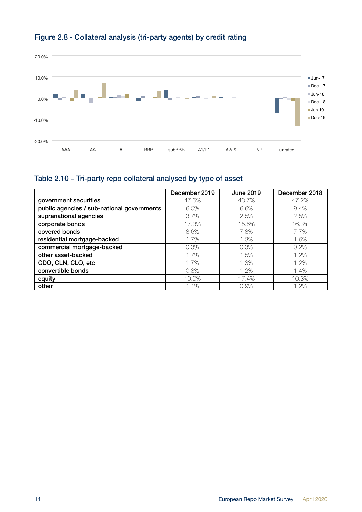

## Figure 2.8 - Collateral analysis (tri-party agents) by credit rating

## Table 2.10 – Tri-party repo collateral analysed by type of asset

|                                            | December 2019 | June 2019 | December 2018 |
|--------------------------------------------|---------------|-----------|---------------|
| government securities                      | 47.5%         | 43.7%     | 47.2%         |
| public agencies / sub-national governments | 6.0%          | 6.6%      | 9.4%          |
| supranational agencies                     | 3.7%          | 2.5%      | 2.5%          |
| corporate bonds                            | 17.3%         | 15.6%     | 16.3%         |
| covered bonds                              | 8.6%          | 7.8%      | 7.7%          |
| residential mortgage-backed                | 1.7%          | 1.3%      | 1.6%          |
| commercial mortgage-backed                 | 0.3%          | 0.3%      | 0.2%          |
| other asset-backed                         | 1.7%          | 1.5%      | 1.2%          |
| CDO, CLN, CLO, etc                         | 1.7%          | 1.3%      | 1.2%          |
| convertible bonds                          | 0.3%          | 1.2%      | 1.4%          |
| equity                                     | 10.0%         | 17.4%     | 10.3%         |
| other                                      | 1.1%          | 0.9%      | 1.2%          |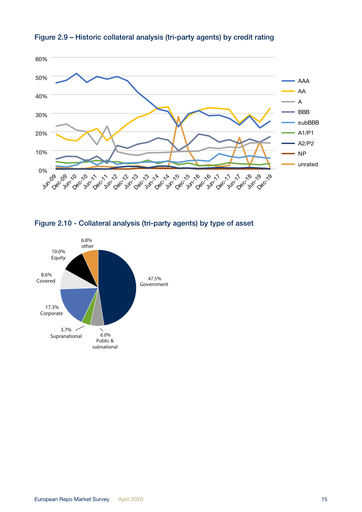

Figure 2.9 – Historic collateral analysis (tri-party agents) by credit rating



Figure 2.10 - Collateral analysis (tri-party agents) by type of asset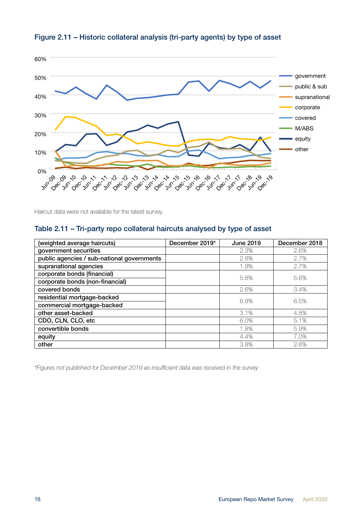

## Figure 2.11 – Historic collateral analysis (tri-party agents) by type of asset

Haircut data were not available for the latest survey.

## Table 2.11 – Tri-party repo collateral haircuts analysed by type of asset

| (weighted average haircuts)                | December 2019* | June 2019 | December 2018 |  |
|--------------------------------------------|----------------|-----------|---------------|--|
| government securities                      |                | 2.3%      | 2.6%          |  |
| public agencies / sub-national governments |                | 2.8%      | 2.7%          |  |
| supranational agencies                     |                | 1.9%      | 2.7%          |  |
| corporate bonds (financial)                |                | 5.8%      | 5.6%          |  |
| corporate bonds (non-financial)            |                |           |               |  |
| covered bonds                              |                | 2.6%      | 3.4%          |  |
| residential mortgage-backed                |                | 6.8%      | 6.5%          |  |
| commercial mortgage-backed                 |                |           |               |  |
| other asset-backed                         |                | 3.1%      | 4.8%          |  |
| CDO, CLN, CLO, etc                         |                | 6.0%      | 5.1%          |  |
| convertible bonds                          |                | 1.8%      | 5.9%          |  |
| equity                                     |                | 4.4%      | 7.0%          |  |
| other                                      |                | 3.8%      | 2.6%          |  |

*\*Figures not published for December 2019 as insufficient data was received in the survey*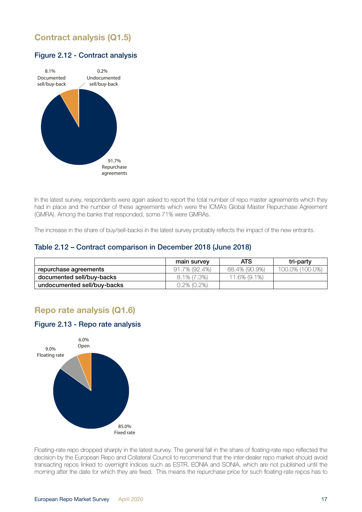## <span id="page-16-0"></span>Contract analysis (Q1.5)

#### Figure 2.12 - Contract analysis



In the latest survey, respondents were again asked to report the total number of repo master agreements which they had in place and the number of these agreements which were the ICMA's Global Master Repurchase Agreement (GMRA). Among the banks that responded, some 71% were GMRAs.

The increase in the share of buy/sell-backs in the latest survey probably reflects the impact of the new entrants.

#### Table 2.12 – Contract comparison in December 2018 (June 2018)

|                             | main survey    | <b>ATS</b>    | tri-party       |
|-----------------------------|----------------|---------------|-----------------|
| repurchase agreements       | 91.7% (92.4%)  | 88.4% (90.9%) | 100.0% (100.0%) |
| documented sell/buy-backs   | $8.1\%$ (7.3%) | 11.6% (9.1%)  |                 |
| undocumented sell/buy-backs | 0.2% (0.2%)    |               |                 |

## Repo rate analysis (Q1.6)

#### Figure 2.13 - Repo rate analysis



decision by the European Repo and Collateral Council to recommend that the inter-dealer repo market should avoid Floating-rate repo dropped sharply in the latest survey. The general fall in the share of floating-rate repo reflected the transacting repos linked to overnight indices such as ESTR, EONIA and SONIA, which are not published until the morning after the date for which they are fixed. This means the repurchase price for such floating-rate repos has to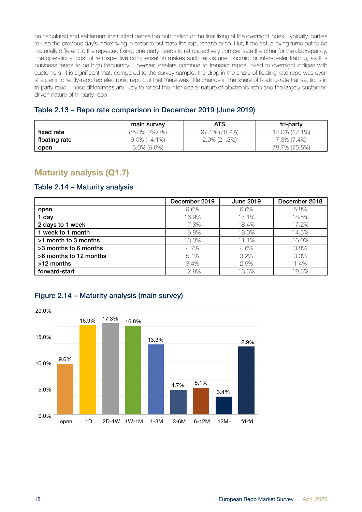<span id="page-17-0"></span>be calculated and settlement instructed before the publication of the final fixing of the overnight index. Typically, parties re-use the previous day's index fixing in order to estimate the repurchase price. But, if the actual fixing turns out to be materially different to the repeated fixing, one party needs to retrospectively compensate the other for the discrepancy. The operational cost of retrospective compensation makes such repos uneconomic for inter-dealer trading, as this business tends to be high frequency. However, dealers continue to transact repos linked to overnight indices with customers. It is significant that, compared to the survey sample, the drop in the share of floating-rate repo was even sharper in directly-reported electronic repo but that there was little change in the share of floating-rate transactions in tri-party repo. These differences are likely to reflect the inter-dealer nature of electronic repo and the largely customerdriven nature of tri-party repo.

|  |  | Table 2.13 - Repo rate comparison in December 2019 (June 2019) |  |  |  |
|--|--|----------------------------------------------------------------|--|--|--|
|--|--|----------------------------------------------------------------|--|--|--|

|               | main survey     | ATS           | tri-party     |
|---------------|-----------------|---------------|---------------|
| fixed rate    | 85.0% (79.0%)   | 97.1% (78.7%) | 14.0% (17.1%) |
| floating rate | $9.0\%$ (14.1%) | 2.9% (21.3%)  | 7.3% (7.4%)   |
| open          | $6.0\%$ (6.9%)  |               | 78.7% (75.5%) |

## Maturity analysis (Q1.7)

#### Table 2.14 – Maturity analysis

|                        | December 2019 | <b>June 2019</b> | December 2018 |
|------------------------|---------------|------------------|---------------|
| open                   | 9.6%          | 6.6%             | 5.8%          |
| 1 day                  | 16.9%         | 17.1%            | 18.5%         |
| 2 days to 1 week       | 17.3%         | 18.4%            | 17.2%         |
| 1 week to 1 month      | 16.8%         | 18.0%            | 14.5%         |
| >1 month to 3 months   | 13.3%         | 11.1%            | 16.0%         |
| >3 months to 6 months  | 4.7%          | 4.6%             | 3.8%          |
| >6 months to 12 months | 5.1%          | 3.2%             | 3.3%          |
| >12 months             | 3.4%          | 2.5%             | 1.4%          |
| forward-start          | 12.9%         | 18.5%            | 19.5%         |



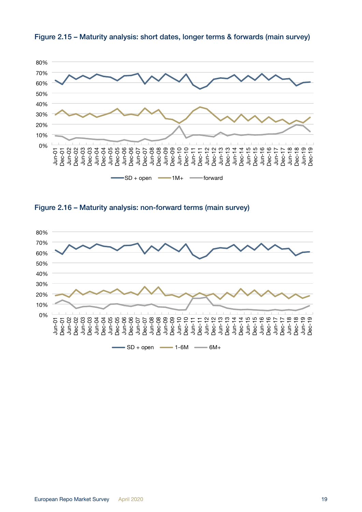





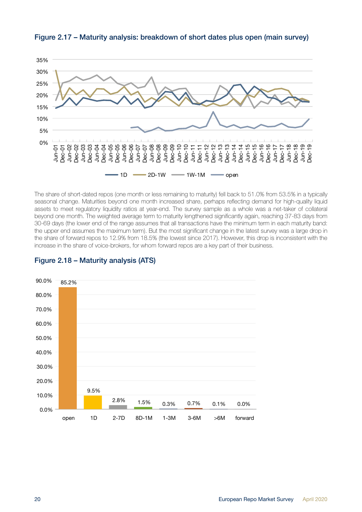

Figure 2.17 – Maturity analysis: breakdown of short dates plus open (main survey)

The share of short-dated repos (one month or less remaining to maturity) fell back to 51.0% from 53.5% in a typically seasonal change. Maturities beyond one month increased share, perhaps reflecting demand for high-quality liquid assets to meet regulatory liquidity ratios at year-end. The survey sample as a whole was a net-taker of collateral beyond one month. The weighted average term to maturity lengthened significantly again, reaching 37-83 days from 30-69 days (the lower end of the range assumes that all transactions have the minimum term in each maturity band: the upper end assumes the maximum term). But the most significant change in the latest survey was a large drop in the share of forward repos to 12.9% from 18.5% (the lowest since 2017). However, this drop is inconsistent with the increase in the share of voice-brokers, for whom forward repos are a key part of their business.



### Figure 2.18 – Maturity analysis (ATS)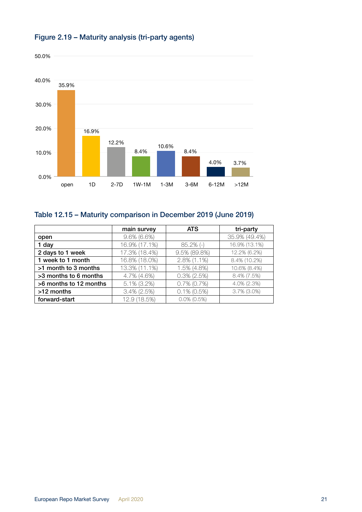

### Figure 2.19 – Maturity analysis (tri-party agents)

## Table 12.15 – Maturity comparison in December 2019 (June 2019)

|                        | main survey    | <b>ATS</b>     | tri-party      |
|------------------------|----------------|----------------|----------------|
| open                   | $9.6\%$ (6.6%) |                | 35.9% (49.4%)  |
| 1 day                  | 16.9% (17.1%)  | $85.2\%$ (-)   | 16.9% (13.1%)  |
| 2 days to 1 week       | 17.3% (18.4%)  | 9.5% (89.8%)   | 12.2% (6.2%)   |
| 1 week to 1 month      | 16.8% (18.0%)  | 2.8% (1.1%)    | 8.4% (10.2%)   |
| >1 month to 3 months   | 13.3% (11.1%)  | 1.5% (4.8%)    | 10.6% (8.4%)   |
| >3 months to 6 months  | 4.7% (4.6%)    | $0.3\%$ (2.5%) | 8.4% (7.5%)    |
| >6 months to 12 months | $5.1\%$ (3.2%) | $0.7\%$ (0.7%) | 4.0% (2.3%)    |
| >12 months             | $3.4\%$ (2.5%) | $0.1\%$ (0.5%) | $3.7\%$ (3.0%) |
| forward-start          | 12.9 (18.5%)   | $0.0\%$ (0.5%) |                |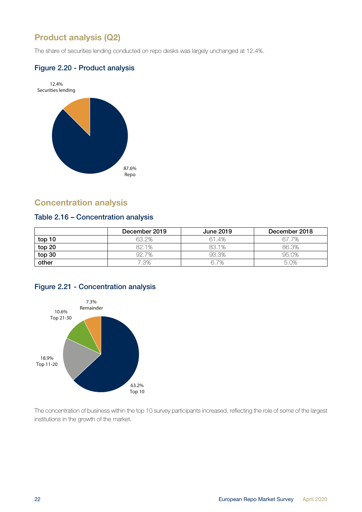## <span id="page-21-0"></span>Product analysis (Q2)

The share of securities lending conducted on repo desks was largely unchanged at 12.4%.

#### Figure 2.20 - Product analysis



## **Concentration analysis**

#### Table 2.16 – Concentration analysis

|        | December 2019 | <b>June 2019</b> | December 2018 |
|--------|---------------|------------------|---------------|
| top 10 | 63.2%         | 61.4%            | 67.7%         |
| top 20 | 82.1%         | 83.1%            | 86.3%         |
| top 30 | 92.7%         | 93.3%            | 95.0%         |
| other  | 7.3%          | 6.7%             | 5.0%          |

## Figure 2.21 - Concentration analysis



The concentration of business within the top 10 survey participants increased, reflecting the role of some of the largest institutions in the growth of the market.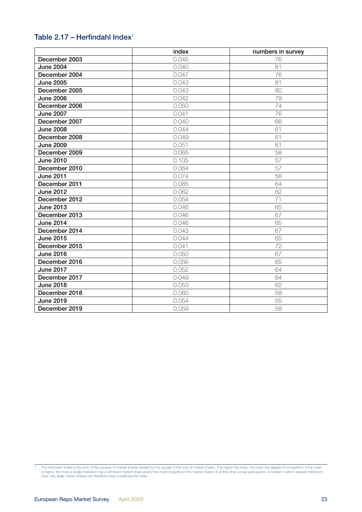### Table 2.17 – Herfindahl Index<sup>1</sup>

|                  | index | numbers in survey |
|------------------|-------|-------------------|
| December 2003    | 0.045 | 76                |
| <b>June 2004</b> | 0.040 | 81                |
| December 2004    | 0.047 | 76                |
| <b>June 2005</b> | 0.043 | 81                |
| December 2005    | 0.043 | 80                |
| <b>June 2006</b> | 0.042 | 79                |
| December 2006    | 0.050 | 74                |
| <b>June 2007</b> | 0.041 | 76                |
| December 2007    | 0.040 | 68                |
| <b>June 2008</b> | 0.044 | 61                |
| December 2008    | 0.049 | 61                |
| <b>June 2009</b> | 0.051 | 61                |
| December 2009    | 0.065 | 58                |
| <b>June 2010</b> | 0.105 | 57                |
| December 2010    | 0.064 | 57                |
| <b>June 2011</b> | 0.074 | 58                |
| December 2011    | 0.065 | 64                |
| <b>June 2012</b> | 0.062 | 62                |
| December 2012    | 0.054 | 71                |
| <b>June 2013</b> | 0.046 | 65                |
| December 2013    | 0.046 | 67                |
| <b>June 2014</b> | 0.046 | 65                |
| December 2014    | 0.043 | 67                |
| <b>June 2015</b> | 0.044 | 65                |
| December 2015    | 0.041 | 72                |
| <b>June 2016</b> | 0.050 | 67                |
| December 2016    | 0.056 | 65                |
| <b>June 2017</b> | 0.052 | 64                |
| December 2017    | 0.049 | 64                |
| <b>June 2018</b> | 0.053 | 62                |
| December 2018    | 0.060 | 58                |
| <b>June 2019</b> | 0.054 | 55                |
| December 2019    | 0.059 | 58                |

<sup>1</sup> The Herfindahl Index is the sum of the squares of market shares divided by the square of the sum of market shares. The higher the index, the lower the degree of competition. If the index<br>is higher, the more a single inst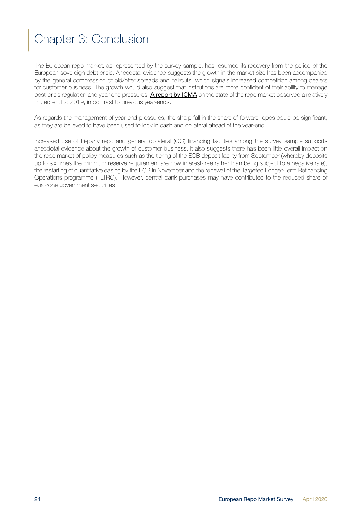## <span id="page-23-0"></span>Chapter 3: Conclusion

The European repo market, as represented by the survey sample, has resumed its recovery from the period of the European sovereign debt crisis. Anecdotal evidence suggests the growth in the market size has been accompanied by the general compression of bid/offer spreads and haircuts, which signals increased competition among dealers for customer business. The growth would also suggest that institutions are more confident of their ability to manage post-crisis regulation and year-end pressures. [A report by ICMA](https://www.icmagroup.org/assets/documents/Regulatory/Repo/ICMA-ERCC-European-repo-market-at-year-end-2019-final-140120.pdf) on the state of the repo market observed a relatively muted end to 2019, in contrast to previous year-ends.

As regards the management of year-end pressures, the sharp fall in the share of forward repos could be significant, as they are believed to have been used to lock in cash and collateral ahead of the year-end.

Increased use of tri-party repo and general collateral (GC) financing facilities among the survey sample supports anecdotal evidence about the growth of customer business. It also suggests there has been little overall impact on the repo market of policy measures such as the tiering of the ECB deposit facility from September (whereby deposits up to six times the minimum reserve requirement are now interest-free rather than being subject to a negative rate), the restarting of quantitative easing by the ECB in November and the renewal of the Targeted Longer-Term Refinancing Operations programme (TLTRO). However, central bank purchases may have contributed to the reduced share of eurozone government securities.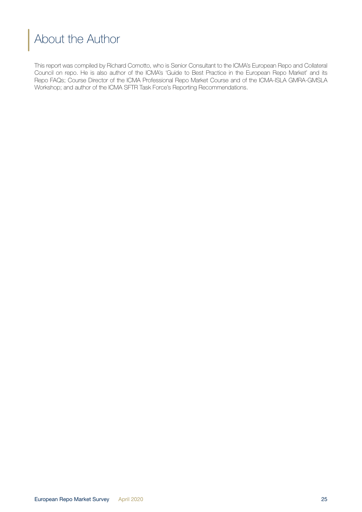## <span id="page-24-0"></span>About the Author

This report was compiled by Richard Comotto, who is Senior Consultant to the ICMA's European Repo and Collateral Council on repo. He is also author of the ICMA's 'Guide to Best Practice in the European Repo Market' and its Repo FAQs; Course Director of the ICMA Professional Repo Market Course and of the ICMA-ISLA GMRA-GMSLA Workshop; and author of the ICMA SFTR Task Force's Reporting Recommendations.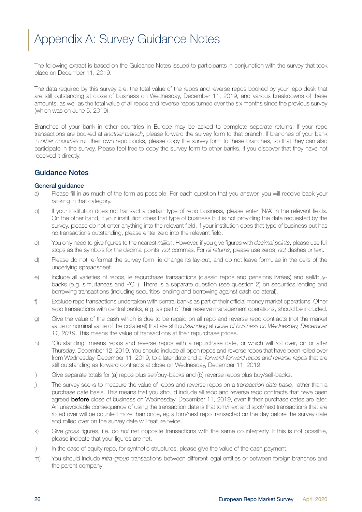## <span id="page-25-0"></span>Appendix A: Survey Guidance Notes

The following extract is based on the Guidance Notes issued to participants in conjunction with the survey that took place on December 11, 2019.

The data required by this survey are: the total value of the repos and reverse repos booked by your repo desk that are still outstanding at close of business on Wednesday, December 11, 2019, and various breakdowns of these amounts, as well as the total value of all repos and reverse repos turned over the six months since the previous survey (which was on June 5, 2019).

Branches of your bank in other countries in Europe may be asked to complete separate returns. If your repo transactions are booked at *another branch*, please forward the survey form to that branch. If branches of your bank in *other countries* run their own repo books, please copy the survey form to these branches, so that they can also participate in the survey. Please feel free to copy the survey form to other banks, if you discover that they have not received it directly.

#### Guidance Notes

#### General guidance

- a) Please fill in as much of the form as possible. For each question that you answer, you will receive back your ranking in that category.
- b) If your institution does not transact a certain type of repo business, please enter 'N/A' in the relevant fields. On the other hand, if your institution does that type of business but is not providing the data requested by the survey, please do not enter anything into the relevant field. If your institution does that type of business but has no transactions outstanding, please enter zero into the relevant field.
- c) You only need to give figures to the nearest *million*. However, if you give figures with *decimal points*, please use full stops as the symbols for the decimal points, *not* commas. For *nil returns*, please use zeros, *not* dashes or text.
- d) Please do not re-format the survey form, ie change its lay-out, and do not leave formulae in the cells of the underlying spreadsheet.
- e) Include all varieties of repos, ie repurchase transactions (classic repos and pensions livrées) and sell/buybacks (e.g. simultaneas and PCT). There is a separate question (see question 2) on securities lending and borrowing transactions (including securities lending and borrowing against cash collateral).
- f) Exclude repo transactions undertaken with central banks as part of their official money market operations. Other repo transactions with central banks, e.g. as part of their reserve management operations, should be included.
- g) Give the value of the cash which is due to be repaid on all repo and reverse repo contracts (not the market value or nominal value of the collateral) that are still *outstanding* at *close of business on Wednesday, December 11, 2019*. This means the value of transactions at their repurchase prices.
- h) "Outstanding" means repos and reverse repos with a repurchase date, or which will roll over, on or after Thursday, December 12, 2019. You should include all open repos and reverse repos that have been rolled over from Wednesday, December 11, 2019, to a later date and all *forward-forward repos and reverse repos* that are still outstanding as forward contracts at close on Wednesday, December 11, 2019.
- i) Give separate totals for (a) repos plus sell/buy-backs and (b) reverse repos plus buy/sell-backs.
- j) The survey seeks to measure the value of repos and reverse repos on a *transaction date basis*, rather than a purchase date basis. This means that you should include all repo and reverse repo contracts that have been agreed **before** close of business on Wednesday, December 11, 2019, even if their purchase dates are later. An unavoidable consequence of using the transaction date is that tom/next and spot/next transactions that are rolled over will be counted more than once, eg a tom/next repo transacted on the day before the survey date and rolled over on the survey date will feature twice.
- k) Give *gross* figures, i.e. do *not* net opposite transactions with the same counterparty. If this is not possible, please indicate that your figures are net.
- l) In the case of equity repo, for synthetic structures, please give the value of the cash payment.
- m) You should include *intra-group* transactions between different legal entities or between foreign branches and the parent company.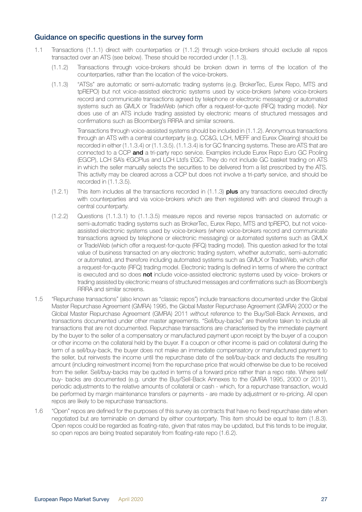#### Guidance on specific questions in the survey form

- 1.1 Transactions (1.1.1) direct with counterparties or (1.1.2) through voice-brokers should exclude all repos transacted over an ATS (see below). These should be recorded under (1.1.3).
	- (1.1.2) Transactions through voice-brokers should be broken down in terms of the location of the counterparties, rather than the location of the voice-brokers.
	- (1.1.3) "ATSs" are automatic or semi-automatic trading systems (e.g. BrokerTec, Eurex Repo, MTS and tpREPO) but not voice-assisted electronic systems used by voice-brokers (where voice-brokers record and communicate transactions agreed by telephone or electronic messaging) or automated systems such as GMLX or TradeWeb (which offer a request-for-quote (RFQ) trading model). Nor does use of an ATS include trading assisted by electronic means of structured messages and confirmations such as Bloomberg's RRRA and similar screens.

 Transactions through voice-assisted systems should be included in (1.1.2). Anonymous transactions through an ATS with a central counterparty (e.g. CC&G, LCH, MEFF and Eurex Clearing) should be recorded in either (1.1.3.4) or (1.1.3.5). (1.1.3.4) is for GC financing systems. These are ATS that are connected to a CCP and a tri-party repo service. Examples include Eurex Repo Euro GC Pooling (EGCP), LCH SA's €GCPlus and LCH Ltd's £GC. They do not include GC basket trading on ATS in which the seller manually selects the securities to be delivered from a list prescribed by the ATS. This activity may be cleared across a CCP but does not involve a tri-party service, and should be recorded in (1.1.3.5).

- $(1.2.1)$  This item includes all the transactions recorded in  $(1.1.3)$  plus any transactions executed directly with counterparties and via voice-brokers which are then registered with and cleared through a central counterparty.
- (1.2.2) Questions (1.1.3.1) to (1.1.3.5) measure repos and reverse repos transacted on automatic or semi-automatic trading systems such as BrokerTec, Eurex Repo, MTS and tpREPO, but not voiceassisted electronic systems used by voice-brokers (where voice-brokers record and communicate transactions agreed by telephone or electronic messaging) or automated systems such as GMLX or TradeWeb (which offer a request-for-quote (RFQ) trading model). This question asked for the total value of business transacted on any electronic trading system, whether automatic, semi-automatic or automated, and therefore including automated systems such as GMLX or TradeWeb, which offer a request-for-quote (RFQ) trading model. Electronic trading Is defined in terms of where the contract is executed and so does **not** include voice-assisted electronic systems used by voice- brokers or trading assisted by electronic means of structured messages and confirmations such as Bloomberg's RRRA and similar screens.
- 1.5 "Repurchase transactions" (also known as "classic repos") include transactions documented under the Global Master Repurchase Agreement (GMRA) 1995, the Global Master Repurchase Agreement (GMRA) 2000 or the Global Master Repurchase Agreement (GMRA) 2011 *withou*t reference to the Buy/Sell-Back Annexes, and transactions documented under other master agreements. "Sell/buy-backs" are therefore taken to include all transactions that are not documented. Repurchase transactions are characterised by the immediate payment by the buyer to the seller of a compensatory or manufactured payment upon receipt by the buyer of a coupon or other income on the collateral held by the buyer. If a coupon or other income is paid on collateral during the term of a sell/buy-back, the buyer does not make an immediate compensatory or manufactured payment to the seller, but reinvests the income until the repurchase date of the sell/buy-back and deducts the resulting amount (including reinvestment income) from the repurchase price that would otherwise be due to be received from the seller. Sell/buy-backs may be quoted in terms of a forward price rather than a repo rate. Where sell/ buy- backs are documented (e.g. under the Buy/Sell-Back Annexes to the GMRA 1995, 2000 or 2011), periodic adjustments to the relative amounts of collateral or cash - which, for a repurchase transaction, would be performed by margin maintenance transfers or payments - are made by adjustment or re-pricing. All open repos are likely to be repurchase transactions.
- 1.6 "Open" repos are defined for the purposes of this survey as contracts that have no fixed repurchase date when negotiated but are terminable on demand by either counterparty. This item should be equal to item (1.8.3). Open repos could be regarded as floating-rate, given that rates may be updated, but this tends to be irregular, so open repos are being treated separately from floating-rate repo (1.6.2).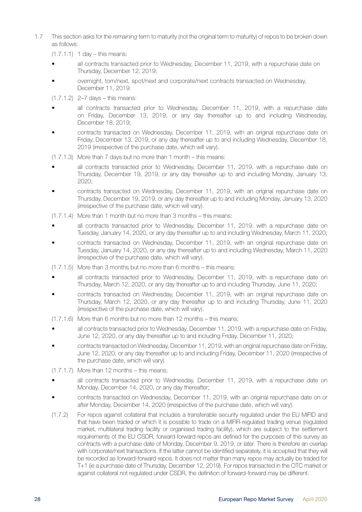- 1.7 This section asks for the *remaining* term to maturity (not the original term to maturity) of repos to be broken down as follows:
	- $(1.7.1.1)$  1 day this means:
	- all contracts transacted prior to Wednesday, December 11, 2019, with a repurchase date on Thursday, December 12, 2019;
	- overnight, tom/next, spot/next and corporate/next contracts transacted on Wednesday, December 11, 2019.

(1.7.1.2) 2–7 days – this means:

- all contracts transacted prior to Wednesday, December 11, 2019, with a repurchase date on Friday, December 13, 2019, or any day thereafter up to and including Wednesday, December 18, 2019;
- contracts transacted on Wednesday, December 11, 2019, with an original repurchase date on Friday, December 13, 2019, or any day thereafter up to and including Wednesday, December 18, 2019 (irrespective of the purchase date, which will vary).

(1.7.1.3) More than 7 days but no more than 1 month – this means:

- all contracts transacted prior to Wednesday, December 11, 2019, with a repurchase date on Thursday, December 19, 2019, or any day thereafter up to and including Monday, January 13, 2020;
- contracts transacted on Wednesday, December 11, 2019, with an original repurchase date on Thursday, December 19, 2019, or any day thereafter up to and including Monday, January 13, 2020 (irrespective of the purchase date, which will vary).
- (1.7.1.4) More than 1 month but no more than 3 months this means:
- all contracts transacted prior to Wednesday, December 11, 2019, with a repurchase date on Tuesday, January 14, 2020, or any day thereafter up to and including Wednesday, March 11, 2020;
- contracts transacted on Wednesday, December 11, 2019, with an original repurchase date on Tuesday, January 14, 2020, or any day thereafter up to and including Wednesday, March 11, 2020 (irrespective of the purchase date, which will vary).
- (1.7.1.5) More than 3 months but no more than 6 months this means:
- all contracts transacted prior to Wednesday, December 11, 2019, with a repurchase date on Thursday, March 12, 2020, or any day thereafter up to and including Thursday, June 11, 2020;
- contracts transacted on Wednesday, December 11, 2019, with an original repurchase date on Thursday, March 12, 2020, or any day thereafter up to and including Thursday, June 11, 2020 (irrespective of the purchase date, which will vary).
- (1.7.1.6) More than 6 months but no more than 12 months this means;
- all contracts transacted prior to Wednesday, December 11, 2019, with a repurchase date on Friday, June 12, 2020, or any day thereafter up to and including Friday, December 11, 2020;
- contracts transacted on Wednesday, December 11, 2019, with an original repurchase date on Friday, June 12, 2020, or any day thereafter up to and including Friday, December 11, 2020 (irrespective of the purchase date, which will vary).
- $(1.7.1.7)$  More than 12 months this means:
- all contracts transacted prior to Wednesday, December 11, 2019, with a repurchase date on Monday, December 14, 2020, or any day thereafter;
- contracts transacted on Wednesday, December 11, 2019, with an original repurchase date on or after Monday, December 14, 2020 (irrespective of the purchase date, which will vary).
- (1.7.2) For repos against collateral that includes a transferable security regulated under the EU MiFID and that have been traded or which it is possible to trade on a MiFIR-regulated trading venue (regulated market, multilateral trading facility or organised trading facility), which are subject to the settlement requirements of the EU CSDR, forward-forward repos are defined for the purposes of this survey as contracts with a purchase date of Monday, December 9, 2019, or later. There is therefore an overlap with corporate/next transactions. If the latter cannot be identified separately, it is accepted that they will be recorded as forward-forward repos. It does not matter than many repos may actually be traded for T+1 (ie a purchase date of Thursday, December 12, 2019). For repos transacted in the OTC market or against collateral not regulated under CSDR, the definition of forward-forward may be different.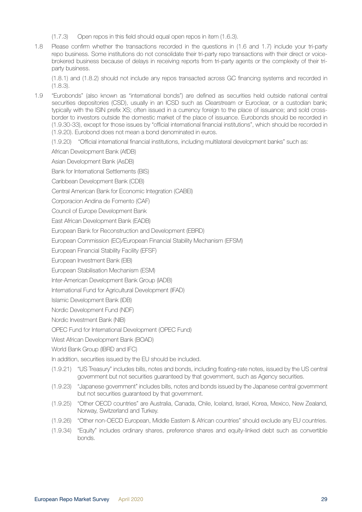- (1.7.3) Open repos in this field should equal open repos in item (1.6.3).
- 1.8 Please confirm whether the transactions recorded in the questions in (1.6 and 1.7) include your tri-party repo business. Some institutions do not consolidate their tri-party repo transactions with their direct or voicebrokered business because of delays in receiving reports from tri-party agents or the complexity of their triparty business.

(1.8.1) and (1.8.2) should not include any repos transacted across GC financing systems and recorded in (1.8.3).

- 1.9 "Eurobonds" (also known as "international bonds") are defined as securities held outside national central securities depositories (CSD), usually in an ICSD such as Clearstream or Euroclear, or a custodian bank; typically with the ISIN prefix XS; often issued in a currency foreign to the place of issuance; and sold crossborder to investors outside the domestic market of the place of issuance. Eurobonds should be recorded in (1.9.30-33), except for those issues by "official international financial institutions", which should be recorded in (1.9.20). Eurobond does not mean a bond denominated in euros.
	- (1.9.20) "Official international financial institutions, including multilateral development banks" such as:
	- African Development Bank (AfDB)

Asian Development Bank (AsDB)

- Bank for International Settlements (BIS)
- Caribbean Development Bank (CDB)
- Central American Bank for Economic Integration (CABEI)
- Corporacion Andina de Fomento (CAF)
- Council of Europe Development Bank
- East African Development Bank (EADB)
- European Bank for Reconstruction and Development (EBRD)
- European Commission (EC)/European Financial Stability Mechanism (EFSM)
- European Financial Stability Facility (EFSF)
- European Investment Bank (EIB)
- European Stabilisation Mechanism (ESM)
- Inter-American Development Bank Group (IADB)
- International Fund for Agricultural Development (IFAD)
- Islamic Development Bank (IDB)
- Nordic Development Fund (NDF)
- Nordic Investment Bank (NIB)
- OPEC Fund for International Development (OPEC Fund)
- West African Development Bank (BOAD)
- World Bank Group (IBRD and IFC)
- In addition, securities issued by the EU should be included.
- (1.9.21) "US Treasury" includes bills, notes and bonds, including floating-rate notes, issued by the US central government but not securities guaranteed by that government, such as Agency securities.
- (1.9.23) "Japanese government" includes bills, notes and bonds issued by the Japanese central government but not securities guaranteed by that government.
- (1.9.25) "Other OECD countries" are Australia, Canada, Chile, Iceland, Israel, Korea, Mexico, New Zealand, Norway, Switzerland and Turkey.
- (1.9.26) "Other non-OECD European, Middle Eastern & African countries" should exclude any EU countries.
- (1.9.34) "Equity" includes ordinary shares, preference shares and equity-linked debt such as convertible bonds.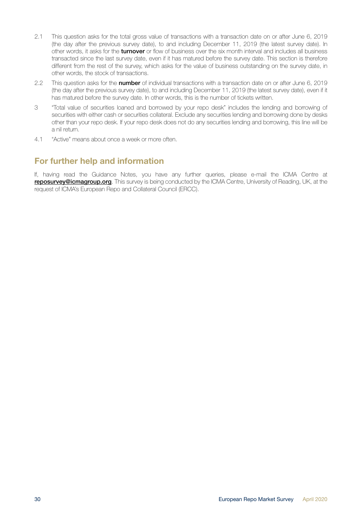- <span id="page-29-0"></span>2.1 This question asks for the total gross value of transactions with a transaction date on or after June 6, 2019 (the day after the previous survey date), to and including December 11, 2019 (the latest survey date). In other words, it asks for the turnover or flow of business over the six month interval and includes all business transacted since the last survey date, even if it has matured before the survey date. This section is therefore different from the rest of the survey, which asks for the value of business outstanding on the survey date, in other words, the stock of transactions.
- 2.2 This question asks for the number of individual transactions with a transaction date on or after June 6, 2019 (the day after the previous survey date), to and including December 11, 2019 (the latest survey date), even if it has matured before the survey date. In other words, this is the number of tickets written.
- 3 "Total value of securities loaned and borrowed by your repo desk" includes the lending and borrowing of securities with either cash or securities collateral. Exclude any securities lending and borrowing done by desks other than your repo desk. If your repo desk does not do any securities lending and borrowing, this line will be a nil return.
- 4.1 "Active" means about once a week or more often.

## For further help and information

If, having read the Guidance Notes, you have any further queries, please e-mail the ICMA Centre at reposurvey@icmagroup.org. This survey is being conducted by the ICMA Centre, University of Reading, UK, at the request of ICMA's European Repo and Collateral Council (ERCC).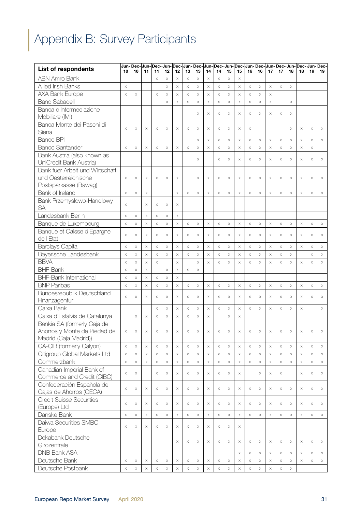# <span id="page-30-0"></span>Appendix B: Survey Participants

| <b>List of respondents</b>                              |          |                       |                           |                       |             | Jun- Dec- Jun- Dec- Jun- Dec- Jun- Dec- Jun- Dec- Jun- Dec- Jun- Dec- Jun- Dec- Jun- Dec- Jun- Dec- |                |                       |                |                       |                       |                       |                       |          |             |                           |             |             |                       |             |
|---------------------------------------------------------|----------|-----------------------|---------------------------|-----------------------|-------------|-----------------------------------------------------------------------------------------------------|----------------|-----------------------|----------------|-----------------------|-----------------------|-----------------------|-----------------------|----------|-------------|---------------------------|-------------|-------------|-----------------------|-------------|
| <b>ABN Amro Bank</b>                                    | 10       | 10                    | 11                        | 11<br>$\times$        | 12<br>X     | 12<br>$\times$                                                                                      | 13<br>$\times$ | 13<br>$\times$        | 14<br>$\times$ | 14<br>$\times$        | 15<br>$\times$        | 15<br>$\times$        | 16                    | 16       | 17          | 17                        | 18          | 18          | 19                    | 19          |
| Allied Irish Banks                                      | X        |                       |                           |                       | $\times$    | $\times$                                                                                            | $\times$       | $\times$              | $\times$       | $\times$              | $\mathsf X$           | $\times$              | $\times$              | $\times$ | $\times$    | $\times$                  | $\times$    |             |                       |             |
| AXA Bank Europe                                         | $\times$ | $\times$              |                           | $\times$              | $\times$    | $\times$                                                                                            | $\times$       | $\times$              | $\times$       | $\bar{\mathsf{X}}$    | $\mathsf X$           | $\mathsf X$           | $\mathsf X$           | $\times$ | $\mathsf X$ |                           |             |             |                       |             |
| <b>Banc Sabadell</b>                                    |          |                       |                           |                       | X           | $\times$                                                                                            | $\times$       | $\times$              | $\times$       | $\times$              | $\times$              | $\times$              | $\times$              | $\times$ | $\times$    |                           | $\times$    |             |                       |             |
| Banca d'Intermediazione                                 |          |                       |                           |                       |             |                                                                                                     |                |                       |                |                       |                       |                       |                       |          |             |                           |             |             |                       |             |
| Mobiliare (IMI)                                         |          |                       |                           |                       |             |                                                                                                     |                | X                     | $\times$       | X                     | $\times$              | X                     | $\times$              | $\times$ | $\times$    | $\times$                  | $\times$    |             |                       |             |
| Banca Monte dei Paschi di                               |          |                       |                           |                       |             |                                                                                                     |                |                       |                |                       |                       |                       |                       |          |             |                           |             |             |                       |             |
| Siena                                                   | $\times$ | $\times$              | $\times$                  | $\times$              | Χ           | $\times$                                                                                            | $\times$       | $\times$              | X              | $\times$              | $\times$              | $\times$              | $\times$              |          |             |                           | $\times$    | X           | $\times$              | X           |
| Banco BPI                                               |          |                       |                           |                       |             |                                                                                                     |                | $\times$              | $\times$       | $\mathsf X$           | $\times$              | $\times$              | $\times$              | $\times$ | $\mathsf X$ | $\boldsymbol{\times}$     | $\times$    | X           | $\times$              | $\times$    |
| <b>Banco Santander</b>                                  | X        | $\times$              | $\times$                  | $\times$              | X           | $\times$                                                                                            | $\times$       | X                     | X              | $\times$              | $\times$              | X                     | $\times$              | $\times$ | $\times$    | $\times$                  | $\times$    | X           | $\times$              |             |
| Bank Austria (also known as                             |          |                       |                           |                       |             |                                                                                                     |                |                       |                |                       |                       |                       |                       |          |             |                           |             |             |                       |             |
| UniCredit Bank Austria)                                 |          |                       |                           |                       |             |                                                                                                     |                | X                     |                | X                     | $\times$              | X                     | X                     | X        | X           | X                         | $\times$    | X           | $\times$              | X           |
| Bank fuer Arbeit und Wirtschaft                         |          |                       |                           |                       |             |                                                                                                     |                |                       |                |                       |                       |                       |                       |          |             |                           |             |             |                       |             |
| und Oesterreichische                                    | X        | $\times$              | $\times$                  | $\times$              | X           | $\times$                                                                                            |                | X                     | X              | $\times$              | $\times$              | $\times$              | $\times$              | $\times$ | $\times$    | $\times$                  | $\times$    | X           | $\times$              | Χ           |
| Postsparkasse (Bawag)                                   |          |                       |                           |                       |             |                                                                                                     |                |                       |                |                       |                       |                       |                       |          |             |                           |             |             |                       |             |
| Bank of Ireland                                         | $\times$ | $\times$              | $\boldsymbol{\mathsf{X}}$ |                       |             | $\times$                                                                                            | $\times$       | X                     | $\times$       | $\times$              | $\times$              | $\times$              | $\times$              | X        | $\times$    | $\boldsymbol{\times}$     | $\times$    | X           | $\times$              | $\times$    |
| Bank Przemyslowo-Handlowy                               |          |                       |                           |                       |             |                                                                                                     |                |                       |                |                       |                       |                       |                       |          |             |                           |             |             |                       |             |
| <b>SA</b>                                               | $\times$ |                       | X                         | $\times$              | X           | X                                                                                                   |                |                       |                |                       |                       |                       |                       |          |             |                           |             |             |                       |             |
| Landesbank Berlin                                       | $\times$ | $\times$              | $\boldsymbol{\mathsf{X}}$ | $\boldsymbol{\times}$ | $\mathsf X$ | $\times$                                                                                            |                |                       |                |                       |                       |                       |                       |          |             |                           |             |             |                       |             |
| Banque de Luxembourg                                    | $\times$ | $\boldsymbol{\times}$ | $\times$                  | $\times$              | $\mathsf X$ | $\times$                                                                                            | $\times$       | $\times$              | $\times$       | $\times$              | $\times$              | $\times$              | $\mathsf X$           | $\times$ | $\mathsf X$ | $\boldsymbol{\times}$     | $\times$    | $\times$    | $\times$              | $\times$    |
| Banque et Caisse d'Epargne                              | $\times$ | $\times$              | X                         | $\times$              | X           | $\times$                                                                                            | $\times$       | X                     | $\times$       | $\times$              | $\times$              | $\times$              | $\times$              | X        | $\times$    | $\times$                  | $\times$    | X           | $\times$              | $\times$    |
| de l'Etat                                               |          |                       |                           |                       |             |                                                                                                     |                |                       |                |                       |                       |                       |                       |          |             |                           |             |             |                       |             |
| <b>Barclays Capital</b>                                 | X        | $\times$              | $\times$                  | $\times$              | $\times$    | $\times$                                                                                            | $\times$       | X                     | $\times$       | $\mathsf X$           | $\times$              | $\times$              | $\mathsf X$           | $\times$ | $\mathsf X$ | $\times$                  | $\times$    | $\times$    | $\times$              | $\times$    |
| Bayerische Landesbank                                   | $\times$ | $\times$              | $\times$                  | $\times$              | $\times$    | $\times$                                                                                            | $\times$       | $\times$              | $\times$       | $\times$              | $\times$              | $\times$              | $\times$              | X        | $\times$    | $\times$                  | $\times$    |             | $\mathsf X$           | $\times$    |
| <b>BBVA</b>                                             | $\times$ | $\times$              | $\mathsf X$               | $\mathsf X$           |             | $\times$                                                                                            |                | X                     | $\times$       | $\times$              | $\times$              | X                     | $\times$              | X        | $\mathsf X$ | X                         | X           | $\times$    | $\times$              | X           |
| <b>BHF-Bank</b>                                         | X        | $\times$              | $\times$                  |                       | $\times$    | $\times$                                                                                            | $\times$       | X                     |                |                       |                       |                       |                       |          |             |                           |             |             |                       |             |
| <b>BHF-Bank International</b>                           | $\times$ | $\boldsymbol{\times}$ | $\times$                  | $\times$              | $\times$    | $\times$                                                                                            |                |                       |                |                       |                       |                       |                       |          |             |                           |             |             |                       |             |
| <b>BNP Paribas</b>                                      | $\times$ | $\boldsymbol{\times}$ | $\times$                  | $\times$              | $\mathsf X$ | $\times$                                                                                            | $\times$       | $\times$              | $\times$       | $\boldsymbol{\times}$ | $\times$              | $\times$              | $\times$              | X        | $\times$    | $\boldsymbol{\times}$     | $\times$    | X           | $\times$              | X           |
| Bundesrepublik Deutschland                              | $\times$ | X                     | X                         | $\times$              | X           | $\times$                                                                                            | $\times$       | $\times$              | $\times$       | $\times$              | $\times$              | X                     | $\times$              | $\times$ | $\times$    | X                         | $\times$    | X           | $\times$              | $\times$    |
| Finanzagentur                                           |          |                       |                           |                       |             |                                                                                                     |                |                       |                |                       |                       |                       |                       |          |             |                           |             |             |                       |             |
| Caixa Bank                                              |          |                       |                           | $\times$              | $\times$    | $\times$                                                                                            | $\times$       | X                     | $\times$       | $\times$              | $\times$              | $\times$              | $\times$              | $\times$ | $\times$    | $\times$                  | $\times$    | X           |                       | $\times$    |
| Caixa d'Estalvis de Catalunya                           |          | $\times$              | $\boldsymbol{\mathsf{X}}$ | $\times$              | $\times$    | $\times$                                                                                            | $\times$       | $\times$              | $\times$       |                       | $\times$              | X                     |                       |          |             |                           |             |             |                       |             |
| Bankia SA (formerly Caja de                             |          |                       |                           |                       |             |                                                                                                     |                |                       |                |                       |                       |                       |                       |          |             |                           |             |             |                       |             |
| Ahorros y Monte de Piedad de                            | X        | $\times$              | X                         | $\times$              | X           | $\times$                                                                                            | $\times$       | X                     | $\times$       | X                     | $\times$              | $\times$              | X                     | $\times$ | $\times$    | X                         | $\times$    | X           | $\times$              | X           |
| Madrid (Caja Madrid))                                   |          |                       |                           |                       |             |                                                                                                     |                |                       |                |                       |                       |                       |                       |          |             |                           |             |             |                       |             |
| CA-CIB (formerly Calyon)                                | $\times$ | $\boldsymbol{\times}$ | $\times$                  | $\boldsymbol{\times}$ | $\times$    | $\times$                                                                                            | $\times$       | $\boldsymbol{\times}$ | $\times$       | $\boldsymbol{\times}$ | $\mathsf X$           | $\boldsymbol{\times}$ | $\times$              | $\times$ | $\times$    | $\mathsf X$               | $\times$    | $\mathsf X$ | $\times$              | X           |
| Citigroup Global Markets Ltd                            | $\times$ | $\boldsymbol{\times}$ | $\times$                  | $\boldsymbol{\times}$ | X           | $\times$                                                                                            | $\mathsf X$    | X                     | $\times$       | $\times$              | $\boldsymbol{\times}$ | $\times$              | $\boldsymbol{\times}$ | $\times$ | $\times$    | $\mathsf X$               | $\times$    | $\times$    | $\boldsymbol{\times}$ | $\times$    |
| Commerzbank                                             | $\times$ | $\times$              | $\boldsymbol{\times}$     | $\mathsf X$           | X           | $\times$                                                                                            | $\mathsf X$    | $\times$              | $\times$       | $\boldsymbol{\times}$ | $\times$              | $\boldsymbol{\times}$ | $\mathsf X$           | $\times$ | $\times$    | $\mathsf X$               | $\times$    | $\times$    | $\boldsymbol{\times}$ | $\mathsf X$ |
| Canadian Imperial Bank of                               | X        | $\boldsymbol{\times}$ |                           | $\times$              | X           | $\times$                                                                                            | $\times$       | X                     | X              | $\times$              | X                     | X                     |                       | X        | $\times$    | X                         |             | X           | $\times$              | $\times$    |
| Commerce and Credit (CIBC)<br>Confederación Española de |          |                       |                           |                       |             |                                                                                                     |                |                       |                |                       |                       |                       |                       |          |             |                           |             |             |                       |             |
| Cajas de Ahorros (CECA)                                 | $\times$ | $\boldsymbol{\times}$ | $\times$                  | $\boldsymbol{\times}$ | X           | $\times$                                                                                            | $\times$       | X                     | X              | X                     | X                     | $\boldsymbol{\times}$ | $\times$              | X        | $\times$    | X                         | $\times$    | X           | X                     | X           |
| <b>Credit Suisse Securities</b>                         |          |                       |                           |                       |             |                                                                                                     |                |                       |                |                       |                       |                       |                       |          |             |                           |             |             |                       |             |
| (Europe) Ltd                                            | $\times$ | X                     | $\times$                  | X                     | X           | $\times$                                                                                            | $\times$       | X                     | X              | X                     | X                     | X                     | X                     | X        | X           | X                         | $\times$    | X           | X                     | $\times$    |
| Danske Bank                                             | $\times$ | $\boldsymbol{\times}$ | $\boldsymbol{\times}$     | $\boldsymbol{\times}$ | $\mathsf X$ | $\times$                                                                                            | $\times$       | $\boldsymbol{\times}$ | $\times$       | $\boldsymbol{\times}$ | $\boldsymbol{\times}$ | $\boldsymbol{\times}$ | $\times$              | $\times$ | $\times$    | $\boldsymbol{\times}$     | $\times$    | X           | $\boldsymbol{\times}$ | $\mathsf X$ |
| Daiwa Securities SMBC                                   |          |                       |                           |                       |             |                                                                                                     |                |                       |                |                       |                       |                       |                       |          |             |                           |             |             |                       |             |
| Europe                                                  | X        | X                     | $\times$                  | X                     | Χ           | Χ                                                                                                   | $\times$       | Χ                     | X              | X                     | $\times$              | X                     |                       |          |             |                           |             |             |                       |             |
| Dekabank Deutsche                                       |          |                       |                           |                       |             |                                                                                                     |                |                       |                |                       |                       |                       |                       |          |             |                           |             |             |                       |             |
| Girozentrale                                            |          |                       |                           |                       |             | X                                                                                                   | X              | Χ                     | Χ              | X                     | Χ                     | X                     | Χ                     | Χ        | X           | Χ                         | X           | X           | X                     | X           |
| <b>DNB Bank ASA</b>                                     |          |                       |                           |                       |             |                                                                                                     |                |                       |                |                       |                       | $\times$              | $\mathsf X$           | $\times$ | $\times$    | $\mathsf X$               | $\times$    | $\mathsf X$ | $\mathsf X$           | $\times$    |
| Deutsche Bank                                           | $\times$ | $\times$              | $\times$                  | $\times$              | $\times$    | $\times$                                                                                            | $\times$       | $\times$              | $\times$       | $\times$              | $\times$              | $\times$              | $\times$              | $\times$ | $\times$    | $\boldsymbol{\mathsf{X}}$ | $\times$    | X           | $\times$              | $\times$    |
| Deutsche Postbank                                       | X        | $\mathsf X$           | $\times$                  | $\mathsf X$           | $\times$    | $\times$                                                                                            | $\mathsf X$    | X                     | $\times$       | $\mathsf X$           | $\mathsf X$           | $\mathsf X$           | $\mathsf X$           | $\times$ | $\times$    | $\times$                  | $\mathsf X$ |             |                       |             |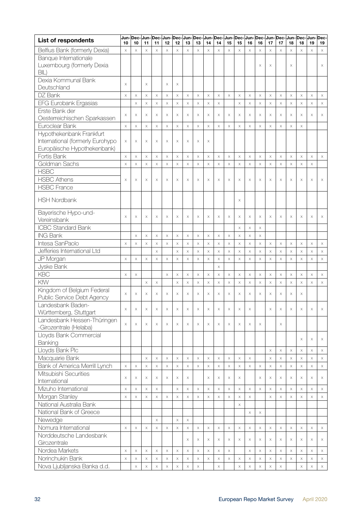| <b>List of respondents</b>       | 10       | 10                    | 11                    | 11                    | 12          | 12       | 13                 | 13                        | 14          | 14                    | 15                        | 15                    | 16                    | 16       | 17          | 17                        | 18       | 18          | Jun- Dec- Jun- Dec- Jun- Dec- Jun- Dec- Jun- Dec- Jun- Dec- Jun- Dec- Jun- Dec- Jun- Dec- Jun- Dec- Jun- Dec-<br>19 | 19                        |
|----------------------------------|----------|-----------------------|-----------------------|-----------------------|-------------|----------|--------------------|---------------------------|-------------|-----------------------|---------------------------|-----------------------|-----------------------|----------|-------------|---------------------------|----------|-------------|---------------------------------------------------------------------------------------------------------------------|---------------------------|
| Belfius Bank (formerly Dexia)    | $\times$ | $\times$              | $\mathsf X$           | $\times$              | $\times$    | $\times$ | $\times$           | $\times$                  | $\times$    | $\times$              | $\times$                  | $\times$              | $\times$              | $\times$ | $\times$    | $\times$                  | $\times$ | $\times$    | $\boldsymbol{\times}$                                                                                               | $\boldsymbol{\times}$     |
| Banque Internationale            |          |                       |                       |                       |             |          |                    |                           |             |                       |                           |                       |                       |          |             |                           |          |             |                                                                                                                     |                           |
| Luxembourg (formerly Dexia       |          |                       |                       |                       |             |          |                    |                           |             |                       |                           |                       |                       | X        | X           |                           | X        |             |                                                                                                                     | X                         |
| BIL)                             |          |                       |                       |                       |             |          |                    |                           |             |                       |                           |                       |                       |          |             |                           |          |             |                                                                                                                     |                           |
| Dexia Kommunal Bank              |          |                       |                       |                       |             |          |                    |                           |             |                       |                           |                       |                       |          |             |                           |          |             |                                                                                                                     |                           |
| Deutschland                      | X        |                       | $\times$              |                       | X           | $\times$ |                    |                           |             |                       |                           |                       |                       |          |             |                           |          |             |                                                                                                                     |                           |
| DZ Bank                          | $\times$ | $\mathsf X$           | $\mathsf X$           | $\times$              | $\times$    | $\times$ | $\mathsf X$        | $\mathsf X$               | $\times$    | $\boldsymbol{\times}$ | $\mathsf X$               | $\boldsymbol{\times}$ | $\times$              | $\times$ | $\times$    | $\boldsymbol{\times}$     | $\times$ | $\mathsf X$ | $\times$                                                                                                            | $\boldsymbol{\times}$     |
| EFG Eurobank Ergasias            |          | $\mathsf X$           | $\boldsymbol{\times}$ | $\times$              | X           | $\times$ | $\times$           | $\times$                  | $\times$    | $\boldsymbol{\times}$ |                           | $\times$              | $\mathsf X$           | $\times$ | $\times$    | $\mathsf X$               | $\times$ | $\mathsf X$ | $\times$                                                                                                            | $\boldsymbol{\times}$     |
| Erste Bank der                   |          |                       |                       |                       |             |          |                    |                           |             |                       |                           |                       |                       |          |             |                           |          |             |                                                                                                                     |                           |
| Oesterreichischen Sparkassen     | X        | $\boldsymbol{\times}$ | $\times$              | $\times$              | X           | $\times$ | $\times$           | $\times$                  | X           | X                     | X                         | $\times$              | X                     | $\times$ | $\times$    | $\times$                  | $\times$ | $\mathsf X$ | X                                                                                                                   | $\times$                  |
| Euroclear Bank                   | $\times$ | $\mathsf X$           | $\boldsymbol{\times}$ | $\times$              | $\times$    | $\times$ | $\times$           | $\times$                  | $\times$    | $\mathsf X$           | $\times$                  | $\times$              | $\mathsf X$           | $\times$ | $\times$    | $\boldsymbol{\times}$     | X        | $\mathsf X$ |                                                                                                                     |                           |
| Hypothekenbank Frankfurt         |          |                       |                       |                       |             |          |                    |                           |             |                       |                           |                       |                       |          |             |                           |          |             |                                                                                                                     |                           |
| International (formerly Eurohypo | $\times$ | $\times$              | $\times$              | $\times$              | X           | $\times$ | X                  | $\times$                  | X           |                       |                           |                       |                       |          |             |                           |          |             |                                                                                                                     |                           |
| Europäische Hypothekenbank)      |          |                       |                       |                       |             |          |                    |                           |             |                       |                           |                       |                       |          |             |                           |          |             |                                                                                                                     |                           |
| Fortis Bank                      | X        | $\times$              | $\boldsymbol{\times}$ | $\times$              | $\times$    | $\times$ | $\times$           | $\times$                  | $\times$    | $\times$              | X                         | $\times$              | $\boldsymbol{\times}$ | $\times$ | $\mathsf X$ | $\times$                  | $\times$ | $\times$    | $\mathsf X$                                                                                                         | $\times$                  |
| Goldman Sachs                    | $\times$ | $\boldsymbol{\times}$ | $\mathsf X$           | $\times$              | $\mathsf X$ | $\times$ | $\times$           | $\times$                  | $\mathsf X$ | $\times$              | $\times$                  | $\times$              | $\times$              | $\times$ | $\times$    | $\times$                  | $\times$ | $\mathsf X$ | $\times$                                                                                                            |                           |
| <b>HSBC</b>                      |          |                       |                       |                       |             |          |                    |                           |             |                       |                           |                       |                       |          |             |                           |          |             |                                                                                                                     |                           |
| <b>HSBC Athens</b>               | $\times$ | $\times$              | $\times$              | $\times$              | X           | $\times$ | $\times$           | $\times$                  | X           | $\times$              | X                         | $\times$              | $\times$              | $\times$ | $\times$    | $\times$                  | $\times$ | $\times$    | X                                                                                                                   | $\times$                  |
| <b>HSBC France</b>               |          |                       |                       |                       |             |          |                    |                           |             |                       |                           |                       |                       |          |             |                           |          |             |                                                                                                                     |                           |
|                                  |          |                       |                       |                       |             |          |                    |                           |             |                       |                           |                       |                       |          |             |                           |          |             |                                                                                                                     |                           |
| <b>HSH Nordbank</b>              |          |                       |                       |                       |             |          |                    |                           |             |                       |                           | $\times$              |                       |          |             |                           |          |             |                                                                                                                     |                           |
| Bayerische Hypo-und-             |          |                       |                       |                       |             |          |                    |                           |             |                       |                           |                       |                       |          |             |                           |          |             |                                                                                                                     |                           |
| Vereinsbank                      | $\times$ | X                     | $\times$              | $\times$              | X           | $\times$ | $\times$           | $\times$                  | $\times$    | $\times$              | X                         | $\times$              | X                     | $\times$ | X           | $\times$                  | $\times$ | $\times$    | X                                                                                                                   | X                         |
| <b>ICBC Standard Bank</b>        |          |                       |                       |                       |             |          |                    |                           |             |                       |                           | $\times$              | X                     | $\times$ |             |                           |          |             |                                                                                                                     |                           |
| <b>ING Bank</b>                  |          | $\times$              | $\mathsf X$           | $\times$              | $\times$    | $\times$ | $\times$           | $\times$                  | $\times$    | $\boldsymbol{\times}$ | $\boldsymbol{\times}$     | $\times$              | X                     | $\times$ |             |                           |          |             |                                                                                                                     |                           |
| Intesa SanPaolo                  | $\times$ | $\boldsymbol{\times}$ | $\mathsf X$           | $\times$              | $\times$    | $\times$ | $\times$           | $\times$                  | $\times$    | $\times$              | $\times$                  | $\times$              | $\times$              | $\times$ | $\mathsf X$ | $\times$                  | $\times$ | $\times$    | $\mathsf X$                                                                                                         | $\boldsymbol{\times}$     |
| Jefferies International Ltd      |          |                       |                       | $\times$              |             | $\times$ | $\mathsf X$        | $\mathsf X$               | $\times$    | $\boldsymbol{\times}$ | $\times$                  | $\times$              | X                     | $\times$ | $\mathsf X$ | $\boldsymbol{\times}$     | $\times$ | $\times$    | $\times$                                                                                                            | $\times$                  |
| JP Morgan                        | $\times$ | $\times$              | $\times$              | $\times$              | $\times$    | $\times$ | $\times$           | $\times$                  | $\mathsf X$ | $\times$              | $\times$                  | $\times$              | $\times$              | $\times$ | $\times$    | $\times$                  | $\times$ | $\times$    | $\times$                                                                                                            | $\times$                  |
| Jyske Bank                       |          |                       |                       |                       |             |          |                    |                           |             | $\boldsymbol{\times}$ |                           |                       |                       |          |             |                           |          |             |                                                                                                                     |                           |
| KBC                              | X        | $\boldsymbol{\times}$ |                       |                       | X           | $\times$ | $\times$           | $\times$                  | $\times$    | $\mathsf X$           | $\times$                  | $\times$              | $\boldsymbol{\times}$ | $\times$ | $\times$    | $\boldsymbol{\times}$     | $\times$ | $\mathsf X$ | $\times$                                                                                                            | $\boldsymbol{\times}$     |
| KfW                              |          |                       | $\times$              | $\times$              |             | $\times$ | $\times$           | $\times$                  | $\times$    | $\mathsf X$           | $\times$                  | $\times$              | $\boldsymbol{\times}$ | $\times$ | $\times$    | $\boldsymbol{\times}$     | $\times$ | $\mathsf X$ | $\times$                                                                                                            | $\boldsymbol{\times}$     |
| Kingdom of Belgium Federal       |          |                       |                       |                       |             |          |                    |                           |             |                       |                           |                       |                       |          |             |                           |          |             |                                                                                                                     |                           |
| Public Service Debt Agency       | X        | $\times$              | $\times$              | $\times$              | X           | $\times$ | $\times$           | $\times$                  | X           | $\times$              | X                         | $\times$              | X                     | $\times$ | $\times$    | $\times$                  | X        | $\times$    |                                                                                                                     |                           |
| Landesbank Baden-                |          |                       |                       |                       |             |          |                    |                           |             |                       |                           |                       |                       |          |             |                           |          |             |                                                                                                                     |                           |
| Württemberg, Stuttgart           | $\times$ | $\times$              | $\boldsymbol{\times}$ | $\times$              | X           | $\times$ | $\times$           | $\boldsymbol{\times}$     | $\times$    | $\boldsymbol{\times}$ | $\times$                  | $\times$              | X                     |          | $\times$    | $\mathsf X$               | $\times$ | $\times$    | X                                                                                                                   | X                         |
| Landesbank Hessen-Thüringen      |          |                       |                       |                       |             |          |                    |                           |             |                       |                           |                       |                       |          |             |                           |          |             |                                                                                                                     |                           |
| -Girozentrale (Helaba)           | $\times$ | X                     | X                     | $\times$              | X           | X        | $\times$           | X                         | X           | X                     | $\boldsymbol{\mathsf{X}}$ | X                     | X                     | X        |             | $\times$                  |          |             |                                                                                                                     |                           |
| Lloyds Bank Commercial           |          |                       |                       |                       |             |          |                    |                           |             |                       |                           |                       |                       |          |             |                           |          |             |                                                                                                                     |                           |
| Banking                          |          |                       |                       |                       |             |          |                    |                           |             |                       |                           |                       |                       |          |             |                           |          | $\times$    | X                                                                                                                   | X                         |
| Lloyds Bank Plc                  |          |                       |                       |                       |             |          |                    |                           |             |                       |                           |                       |                       |          | $\times$    | $\boldsymbol{\times}$     | $\times$ | $\mathsf X$ | $\times$                                                                                                            | $\boldsymbol{\mathsf{X}}$ |
| Macquarie Bank                   |          |                       | $\boldsymbol{\times}$ | $\times$              | X           | $\times$ | $\mathsf X$        | $\times$                  | $\times$    | $\mathsf X$           | $\times$                  | $\times$              | $\mathsf X$           |          | $\times$    | $\mathsf X$               | $\times$ | $\mathsf X$ | $\times$                                                                                                            | $\boldsymbol{\times}$     |
| Bank of America Merrill Lynch    | $\times$ | $\times$              | $\times$              | $\times$              | X           | $\times$ | $\times$           | $\boldsymbol{\times}$     | $\times$    | $\times$              | $\mathsf X$               | $\times$              | $\mathsf X$           | $\times$ | $\times$    | $\times$                  | $\times$ | $\times$    | $\mathsf X$                                                                                                         | $\boldsymbol{\times}$     |
| Mitsubishi Securities            |          |                       |                       |                       |             |          |                    |                           |             |                       |                           |                       |                       |          |             |                           |          |             |                                                                                                                     |                           |
| International                    | $\times$ | $\boldsymbol{\times}$ | $\times$              | $\times$              | X           | $\times$ | $\times$           |                           | X           | X                     | Χ                         | $\times$              |                       | $\times$ | $\times$    | $\boldsymbol{\mathsf{X}}$ | X        | $\times$    | X                                                                                                                   | $\times$                  |
| Mizuho International             | $\times$ | $\boldsymbol{\times}$ | $\boldsymbol{\times}$ | $\boldsymbol{\times}$ |             | $\times$ | X                  | $\times$                  | $\times$    | $\mathsf X$           | $\mathsf X$               | $\times$              | $\mathsf X$           | $\times$ | $\times$    | $\mathsf X$               | $\times$ | $\mathsf X$ | $\times$                                                                                                            | $\times$                  |
| Morgan Stanley                   | X        | $\mathsf X$           | $\boldsymbol{\times}$ | $\times$              | X           | $\times$ | $\times$           | $\times$                  | $\times$    | $\mathsf X$           | $\times$                  | $\times$              | $\mathsf X$           |          | $\times$    | $\mathsf X$               | X        | $\mathsf X$ | X                                                                                                                   | $\times$                  |
| National Australia Bank          |          |                       |                       |                       |             |          |                    |                           |             |                       |                           | $\times$              |                       |          |             |                           |          |             |                                                                                                                     |                           |
| National Bank of Greece          |          |                       |                       |                       |             |          |                    |                           |             |                       |                           |                       | X                     | $\times$ |             |                           |          |             |                                                                                                                     |                           |
| Newedge                          |          |                       |                       | $\times$              |             | $\times$ | $\mathsf X$        |                           |             |                       |                           |                       |                       |          |             |                           |          |             |                                                                                                                     |                           |
| Nomura International             | $\times$ | $\times$              | $\boldsymbol{\times}$ | $\times$              | X           | $\times$ | $\times$           | $\times$                  | $\times$    | $\times$              | $\boldsymbol{\times}$     | $\times$              | $\times$              | $\times$ | $\times$    | $\times$                  | X        | $\times$    | $\mathsf X$                                                                                                         | $\mathsf X$               |
| Norddeutsche Landesbank          |          |                       |                       |                       |             |          |                    |                           |             |                       |                           |                       |                       |          |             |                           |          |             |                                                                                                                     |                           |
| Girozentrale                     |          |                       |                       |                       |             |          | X                  | X                         | X           | X                     | X                         | X                     | Χ                     | $\times$ | X           | Χ                         | X        | X           | X                                                                                                                   | X                         |
| Nordea Markets                   | $\times$ | $\times$              | $\times$              | $\boldsymbol{\times}$ | X           | $\times$ | $\times$           | $\times$                  | $\times$    | $\mathsf X$           | $\boldsymbol{\times}$     |                       | $\mathsf X$           | $\times$ | $\times$    | $\mathsf X$               | $\times$ | $\mathsf X$ | $\times$                                                                                                            | $\times$                  |
| Norinchukin Bank                 | $\times$ | $\times$              | $\times$              | $\boldsymbol{\times}$ | X           | $\times$ | $\times$           | $\times$                  | $\times$    | $\mathsf X$           | $\mathsf X$               | $\boldsymbol{\times}$ | $\mathsf X$           | $\times$ | $\times$    | $\boldsymbol{\times}$     | $\times$ | $\mathsf X$ | $\times$                                                                                                            | $\times$                  |
| Nova Ljubljanska Banka d.d.      |          | $\times$              | $\mathsf X$           | $\times$              | X           | $\times$ | $\bar{\mathsf{X}}$ | $\boldsymbol{\mathsf{X}}$ |             | $\times$              |                           | $\mathsf X$           | $\times$              | $\times$ | $\mathsf X$ | $\times$                  |          | $\times$    | X                                                                                                                   | $\mathsf X$               |
|                                  |          |                       |                       |                       |             |          |                    |                           |             |                       |                           |                       |                       |          |             |                           |          |             |                                                                                                                     |                           |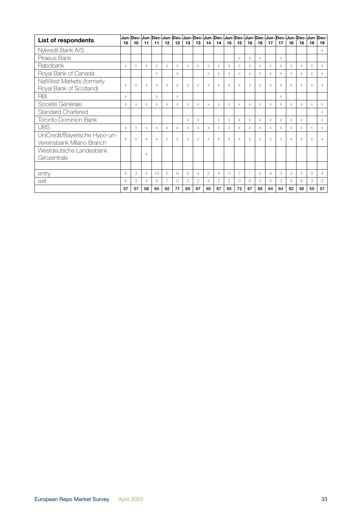| <b>List of respondents</b>                                 | 10       | 10       | 11       | 11             | 12 | Jun- Dec- Jun- Dec- Jun- Dec- Jun- Dec- <br>12 | 13             | 13             | 14       | 14             | 15       | Jun- Dec- Jun- Dec- Jun- Dec- Jun- Dec- <br>15 | 16 | 16             | 17             | 17       | 18       | Jun-Dec-Jun-Dec-<br>18 | 19 | 19             |
|------------------------------------------------------------|----------|----------|----------|----------------|----|------------------------------------------------|----------------|----------------|----------|----------------|----------|------------------------------------------------|----|----------------|----------------|----------|----------|------------------------|----|----------------|
| Nykredit Bank A/S                                          |          |          |          |                |    |                                                |                |                |          |                |          |                                                |    |                |                |          |          |                        |    | $\times$       |
| Piraeus Bank                                               |          |          |          |                |    |                                                |                |                |          |                |          | $\times$                                       | X. | $\times$       |                | $\times$ |          |                        |    |                |
| Rabobank                                                   | X        | X        | X        | X              | X  | $\times$                                       | X              | X              | X        | X              | X        | X                                              | X  | X              | X              | X        | X        | $\times$               | X  | Х              |
| Royal Bank of Canada                                       |          |          |          | $\times$       |    | $\times$                                       |                |                | $\times$ | X              | X        | $\times$                                       | X  | $\times$       | $\times$       | $\times$ | X        | $\times$               | X  | $\times$       |
| NatWest Markets (formerly<br>Royal Bank of Scotland)       | X        | $\times$ | X        | $\times$       | X  | $\times$                                       | X              | X              | X        | $\times$       | X        | $\times$                                       | X  | $\times$       | X              | X        | X        | $\times$               | X  | $\times$       |
| <b>RBI</b>                                                 | $\times$ |          |          | $\times$       |    | $\times$                                       |                |                |          |                |          |                                                |    |                |                | $\times$ |          |                        |    |                |
| Société Générale                                           | X        | X        | X        | X              | X  | $\times$                                       | X              | X              | $\times$ | $\times$       | X        | X                                              | X  | X              | X              | X        | X        | $\times$               | X  | Χ              |
| Standard Chartered                                         |          |          |          |                |    |                                                |                |                |          |                |          |                                                |    |                |                |          |          |                        |    | $\times$       |
| <b>Toronto Dominion Bank</b>                               |          |          |          |                |    |                                                | $\times$       | X              |          | $\times$       | $\times$ | $\times$                                       | X. | $\times$       | $\times$       | $\times$ | $\times$ | $\times$               |    | $\times$       |
| <b>UBS</b>                                                 | X        | X        | X        | X              | X  | $\times$                                       | X              | X              | X        | X              | X        | X                                              | X  | X              | X              | X        | X        | X                      | X  | $\times$       |
| UniCredit/Bayerische Hypo-un-<br>Vereinsbank Milano Branch | $\times$ | $\times$ | X        | $\times$       | X  | $\times$                                       | $\times$       | $\times$       | $\times$ | $\times$       | X        | $\times$                                       | X  | $\times$       | $\times$       | $\times$ | $\times$ | $\times$               | X  | $\times$       |
| Westdeutsche Landesbank<br>Girozentrale                    |          |          | $\times$ |                |    |                                                |                |                |          |                |          |                                                |    |                |                |          |          |                        |    |                |
|                                                            |          |          |          |                |    |                                                |                |                |          |                |          |                                                |    |                |                |          |          |                        |    |                |
| entry                                                      | 5        | 3        | 5        | 10             | 5  | 9                                              | 8              | $\Delta$       | 2        | $\Delta$       | 0        | $\overline{7}$                                 |    | $\overline{2}$ | $\overline{4}$ | 3        | 3        | $\overline{2}$         | 0  | $\overline{4}$ |
| exit                                                       | 6        | 3        | 4        | $\overline{A}$ |    | $\bigcirc$                                     | $\overline{2}$ | $\overline{2}$ | 4        | $\overline{2}$ | 2        | $\circ$                                        | 6  | 3              | 5              | 3        | 5        | 6                      | 3  | $\mathbf{2}$   |
|                                                            | 57       | 57       | 58       | 64             | 62 | 71                                             | 65             | 67             | 65       | 67             | 65       | 72                                             | 67 | 65             | 64             | 64       | 62       | 58                     | 55 | 57             |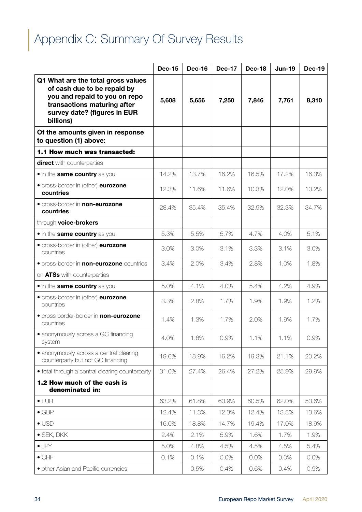## <span id="page-33-0"></span>Appendix C: Summary Of Survey Results

|                                                                                                                                                                                | <b>Dec-15</b> | <b>Dec-16</b> | <b>Dec-17</b> | <b>Dec-18</b> | <b>Jun-19</b> | <b>Dec-19</b> |
|--------------------------------------------------------------------------------------------------------------------------------------------------------------------------------|---------------|---------------|---------------|---------------|---------------|---------------|
| Q1 What are the total gross values<br>of cash due to be repaid by<br>you and repaid to you on repo<br>transactions maturing after<br>survey date? (figures in EUR<br>billions) | 5,608         | 5,656         | 7,250         | 7,846         | 7,761         | 8,310         |
| Of the amounts given in response<br>to question (1) above:                                                                                                                     |               |               |               |               |               |               |
| 1.1 How much was transacted:                                                                                                                                                   |               |               |               |               |               |               |
| direct with counterparties                                                                                                                                                     |               |               |               |               |               |               |
| • in the same country as you                                                                                                                                                   | 14.2%         | 13.7%         | 16.2%         | 16.5%         | 17.2%         | 16.3%         |
| • cross-border in (other) eurozone<br>countries                                                                                                                                | 12.3%         | 11.6%         | 11.6%         | 10.3%         | 12.0%         | 10.2%         |
| • cross-border in non-eurozone<br>countries                                                                                                                                    | 28.4%         | 35.4%         | 35.4%         | 32.9%         | 32.3%         | 34.7%         |
| through voice-brokers                                                                                                                                                          |               |               |               |               |               |               |
| • in the same country as you                                                                                                                                                   | 5.3%          | 5.5%          | 5.7%          | 4.7%          | 4.0%          | 5.1%          |
| • cross-border in (other) eurozone<br>countries                                                                                                                                | 3.0%          | 3.0%          | 3.1%          | 3.3%          | 3.1%          | 3.0%          |
| <b>•</b> cross-border in <b>non-eurozone</b> countries                                                                                                                         | 3.4%          | 2.0%          | 3.4%          | 2.8%          | 1.0%          | 1.8%          |
| on ATSs with counterparties                                                                                                                                                    |               |               |               |               |               |               |
| • in the same country as you                                                                                                                                                   | 5.0%          | 4.1%          | 4.0%          | 5.4%          | 4.2%          | 4.9%          |
| • cross-border in (other) eurozone<br>countries                                                                                                                                | 3.3%          | 2.8%          | 1.7%          | 1.9%          | 1.9%          | 1.2%          |
| <b>•</b> cross border-border in <b>non-eurozone</b><br>countries                                                                                                               | 1.4%          | 1.3%          | 1.7%          | 2.0%          | 1.9%          | 1.7%          |
| • anonymously across a GC financing<br>system                                                                                                                                  | 4.0%          | 1.8%          | 0.9%          | 1.1%          | 1.1%          | 0.9%          |
| • anonymously across a central clearing<br>counterparty but not GC financing                                                                                                   | 19.6%         | 18.9%         | 16.2%         | 19.3%         | 21.1%         | 20.2%         |
| • total through a central clearing counterparty                                                                                                                                | 31.0%         | 27.4%         | 26.4%         | 27.2%         | 25.9%         | 29.9%         |
| 1.2 How much of the cash is<br>denominated in:                                                                                                                                 |               |               |               |               |               |               |
| $\bullet$ EUR                                                                                                                                                                  | 63.2%         | 61.8%         | 60.9%         | 60.5%         | 62.0%         | 53.6%         |
| $\bullet$ GBP                                                                                                                                                                  | 12.4%         | 11.3%         | 12.3%         | 12.4%         | 13.3%         | 13.6%         |
| $\bullet$ USD                                                                                                                                                                  | 16.0%         | 18.8%         | 14.7%         | 19.4%         | 17.0%         | 18.9%         |
| $\bullet$ SEK, DKK                                                                                                                                                             | 2.4%          | 2.1%          | 5.9%          | 1.6%          | 1.7%          | 1.9%          |
| $\bullet$ JPY                                                                                                                                                                  | 5.0%          | 4.8%          | 4.5%          | 4.5%          | 4.5%          | 5.4%          |
| $\bullet$ CHF                                                                                                                                                                  | 0.1%          | 0.1%          | 0.0%          | 0.0%          | 0.0%          | 0.0%          |
| · other Asian and Pacific currencies                                                                                                                                           |               | 0.5%          | 0.4%          | 0.6%          | 0.4%          | 0.9%          |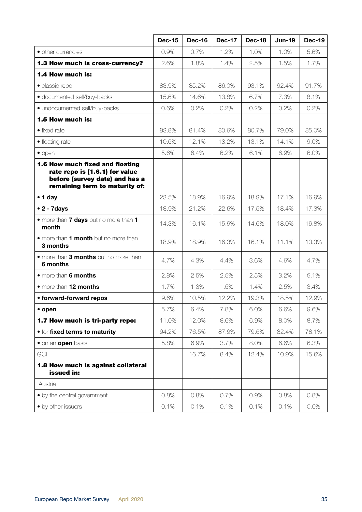|                                                                                                                                       | <b>Dec-15</b> | <b>Dec-16</b> | <b>Dec-17</b> | Dec-18 | <b>Jun-19</b> | <b>Dec-19</b> |
|---------------------------------------------------------------------------------------------------------------------------------------|---------------|---------------|---------------|--------|---------------|---------------|
| • other currencies                                                                                                                    | 0.9%          | 0.7%          | 1.2%          | 1.0%   | 1.0%          | 5.6%          |
| 1.3 How much is cross-currency?                                                                                                       | 2.6%          | 1.8%          | 1.4%          | 2.5%   | 1.5%          | 1.7%          |
| 1.4 How much is:                                                                                                                      |               |               |               |        |               |               |
| · classic repo                                                                                                                        | 83.9%         | 85.2%         | 86.0%         | 93.1%  | 92.4%         | 91.7%         |
| · documented sell/buy-backs                                                                                                           | 15.6%         | 14.6%         | 13.8%         | 6.7%   | 7.3%          | 8.1%          |
| · undocumented sell/buy-backs                                                                                                         | 0.6%          | 0.2%          | 0.2%          | 0.2%   | 0.2%          | 0.2%          |
| 1.5 How much is:                                                                                                                      |               |               |               |        |               |               |
| $\bullet$ fixed rate                                                                                                                  | 83.8%         | 81.4%         | 80.6%         | 80.7%  | 79.0%         | 85.0%         |
| • floating rate                                                                                                                       | 10.6%         | 12.1%         | 13.2%         | 13.1%  | 14.1%         | 9.0%          |
| $\bullet$ open                                                                                                                        | 5.6%          | 6.4%          | 6.2%          | 6.1%   | 6.9%          | 6.0%          |
| 1.6 How much fixed and floating<br>rate repo is (1.6.1) for value<br>before (survey date) and has a<br>remaining term to maturity of: |               |               |               |        |               |               |
| $\bullet$ 1 day                                                                                                                       | 23.5%         | 18.9%         | 16.9%         | 18.9%  | 17.1%         | 16.9%         |
| $\bullet$ 2 - 7 days                                                                                                                  | 18.9%         | 21.2%         | 22.6%         | 17.5%  | 18.4%         | 17.3%         |
| . more than <b>7 days</b> but no more than 1<br>month                                                                                 | 14.3%         | 16.1%         | 15.9%         | 14.6%  | 18.0%         | 16.8%         |
| • more than 1 month but no more than<br>3 months                                                                                      | 18.9%         | 18.9%         | 16.3%         | 16.1%  | 11.1%         | 13.3%         |
| • more than 3 months but no more than<br>6 months                                                                                     | 4.7%          | 4.3%          | 4.4%          | 3.6%   | 4.6%          | 4.7%          |
| • more than 6 months                                                                                                                  | 2.8%          | 2.5%          | 2.5%          | 2.5%   | 3.2%          | 5.1%          |
| • more than 12 months                                                                                                                 | 1.7%          | 1.3%          | 1.5%          | 1.4%   | 2.5%          | 3.4%          |
| • forward-forward repos                                                                                                               | 9.6%          | 10.5%         | 12.2%         | 19.3%  | 18.5%         | 12.9%         |
| $\bullet$ open                                                                                                                        | 5.7%          | 6.4%          | 7.8%          | 6.0%   | 6.6%          | 9.6%          |
| 1.7 How much is tri-party repo:                                                                                                       | 11.0%         | 12.0%         | 8.6%          | 6.9%   | 8.0%          | 8.7%          |
| <b>• for fixed terms to maturity</b>                                                                                                  | 94.2%         | 76.5%         | 87.9%         | 79.6%  | 82.4%         | 78.1%         |
| • on an open basis                                                                                                                    | 5.8%          | 6.9%          | 3.7%          | 8.0%   | 6.6%          | 6.3%          |
| <b>GCF</b>                                                                                                                            |               | 16.7%         | 8.4%          | 12.4%  | 10.9%         | 15.6%         |
| 1.8 How much is against collateral<br>issued in:                                                                                      |               |               |               |        |               |               |
| Austria                                                                                                                               |               |               |               |        |               |               |
| • by the central government                                                                                                           | 0.8%          | 0.8%          | 0.7%          | 0.9%   | 0.8%          | 0.8%          |
| • by other issuers                                                                                                                    | 0.1%          | 0.1%          | 0.1%          | 0.1%   | 0.1%          | 0.0%          |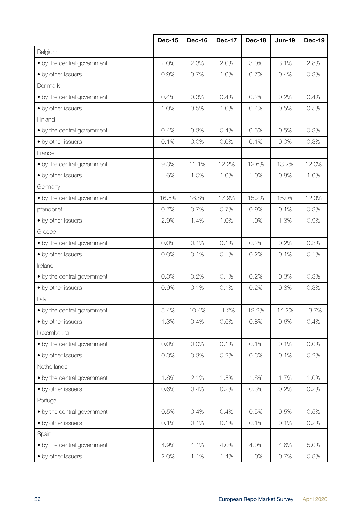|                             | <b>Dec-15</b> | <b>Dec-16</b> | <b>Dec-17</b> | <b>Dec-18</b> | <b>Jun-19</b> | <b>Dec-19</b> |
|-----------------------------|---------------|---------------|---------------|---------------|---------------|---------------|
| Belgium                     |               |               |               |               |               |               |
| • by the central government | 2.0%          | 2.3%          | 2.0%          | 3.0%          | 3.1%          | 2.8%          |
| • by other issuers          | 0.9%          | 0.7%          | 1.0%          | 0.7%          | 0.4%          | 0.3%          |
| Denmark                     |               |               |               |               |               |               |
| • by the central government | 0.4%          | 0.3%          | 0.4%          | 0.2%          | 0.2%          | 0.4%          |
| • by other issuers          | 1.0%          | 0.5%          | 1.0%          | 0.4%          | 0.5%          | 0.5%          |
| Finland                     |               |               |               |               |               |               |
| • by the central government | 0.4%          | 0.3%          | 0.4%          | 0.5%          | 0.5%          | 0.3%          |
| • by other issuers          | 0.1%          | 0.0%          | 0.0%          | 0.1%          | 0.0%          | 0.3%          |
| France                      |               |               |               |               |               |               |
| • by the central government | 9.3%          | 11.1%         | 12.2%         | 12.6%         | 13.2%         | 12.0%         |
| • by other issuers          | 1.6%          | 1.0%          | 1.0%          | 1.0%          | 0.8%          | 1.0%          |
| Germany                     |               |               |               |               |               |               |
| • by the central government | 16.5%         | 18.8%         | 17.9%         | 15.2%         | 15.0%         | 12.3%         |
| pfandbrief                  | 0.7%          | 0.7%          | 0.7%          | 0.9%          | 0.1%          | 0.3%          |
| • by other issuers          | 2.9%          | 1.4%          | 1.0%          | 1.0%          | 1.3%          | 0.9%          |
| Greece                      |               |               |               |               |               |               |
| • by the central government | 0.0%          | 0.1%          | 0.1%          | 0.2%          | 0.2%          | 0.3%          |
| • by other issuers          | 0.0%          | 0.1%          | 0.1%          | 0.2%          | 0.1%          | 0.1%          |
| Ireland                     |               |               |               |               |               |               |
| • by the central government | 0.3%          | 0.2%          | 0.1%          | 0.2%          | 0.3%          | 0.3%          |
| • by other issuers          | 0.9%          | 0.1%          | 0.1%          | 0.2%          | 0.3%          | 0.3%          |
| Italy                       |               |               |               |               |               |               |
| • by the central government | 8.4%          | 10.4%         | 11.2%         | 12.2%         | 14.2%         | 13.7%         |
| • by other issuers          | 1.3%          | 0.4%          | 0.6%          | 0.8%          | 0.6%          | 0.4%          |
| Luxembourg                  |               |               |               |               |               |               |
| • by the central government | 0.0%          | 0.0%          | 0.1%          | 0.1%          | 0.1%          | 0.0%          |
| • by other issuers          | 0.3%          | 0.3%          | 0.2%          | 0.3%          | 0.1%          | 0.2%          |
| Netherlands                 |               |               |               |               |               |               |
| • by the central government | 1.8%          | 2.1%          | 1.5%          | 1.8%          | 1.7%          | 1.0%          |
| • by other issuers          | 0.6%          | 0.4%          | 0.2%          | 0.3%          | 0.2%          | 0.2%          |
| Portugal                    |               |               |               |               |               |               |
| • by the central government | 0.5%          | 0.4%          | 0.4%          | 0.5%          | 0.5%          | 0.5%          |
| • by other issuers          | 0.1%          | 0.1%          | 0.1%          | 0.1%          | 0.1%          | 0.2%          |
| Spain                       |               |               |               |               |               |               |
| • by the central government | 4.9%          | 4.1%          | 4.0%          | 4.0%          | 4.6%          | 5.0%          |
| • by other issuers          | 2.0%          | 1.1%          | 1.4%          | 1.0%          | 0.7%          | 0.8%          |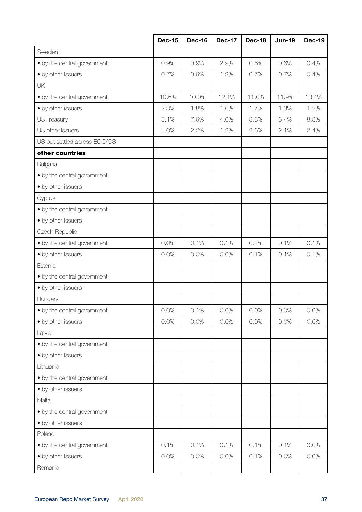|                              | <b>Dec-15</b> | <b>Dec-16</b> | <b>Dec-17</b> | <b>Dec-18</b> | <b>Jun-19</b> | <b>Dec-19</b> |
|------------------------------|---------------|---------------|---------------|---------------|---------------|---------------|
| Sweden                       |               |               |               |               |               |               |
| • by the central government  | 0.9%          | 0.9%          | 2.9%          | 0.6%          | 0.6%          | 0.4%          |
| • by other issuers           | 0.7%          | 0.9%          | 1.9%          | 0.7%          | 0.7%          | 0.4%          |
| <b>UK</b>                    |               |               |               |               |               |               |
| • by the central government  | 10.6%         | 10.0%         | 12.1%         | 11.0%         | 11.9%         | 13.4%         |
| • by other issuers           | 2.3%          | 1.8%          | 1.6%          | 1.7%          | 1.3%          | 1.2%          |
| US Treasury                  | 5.1%          | 7.9%          | 4.6%          | 8.8%          | 6.4%          | 8.8%          |
| US other issuers             | 1.0%          | 2.2%          | 1.2%          | 2.6%          | 2.1%          | 2.4%          |
| US but settled across EOC/CS |               |               |               |               |               |               |
| other countries              |               |               |               |               |               |               |
| Bulgaria                     |               |               |               |               |               |               |
| • by the central government  |               |               |               |               |               |               |
| • by other issuers           |               |               |               |               |               |               |
| Cyprus                       |               |               |               |               |               |               |
| • by the central government  |               |               |               |               |               |               |
| • by other issuers           |               |               |               |               |               |               |
| Czech Republic               |               |               |               |               |               |               |
| • by the central government  | 0.0%          | 0.1%          | 0.1%          | 0.2%          | 0.1%          | 0.1%          |
| • by other issuers           | 0.0%          | 0.0%          | 0.0%          | 0.1%          | 0.1%          | 0.1%          |
| Estonia                      |               |               |               |               |               |               |
| • by the central government  |               |               |               |               |               |               |
| • by other issuers           |               |               |               |               |               |               |
| Hungary                      |               |               |               |               |               |               |
| • by the central government  | 0.0%          | 0.1%          | 0.0%          | 0.0%          | 0.0%          | 0.0%          |
| • by other issuers           | 0.0%          | 0.0%          | 0.0%          | 0.0%          | 0.0%          | 0.0%          |
| Latvia                       |               |               |               |               |               |               |
| • by the central government  |               |               |               |               |               |               |
| • by other issuers           |               |               |               |               |               |               |
| Lithuania                    |               |               |               |               |               |               |
| • by the central government  |               |               |               |               |               |               |
| • by other issuers           |               |               |               |               |               |               |
| Malta                        |               |               |               |               |               |               |
| • by the central government  |               |               |               |               |               |               |
| • by other issuers           |               |               |               |               |               |               |
| Poland                       |               |               |               |               |               |               |
| • by the central government  | 0.1%          | 0.1%          | 0.1%          | 0.1%          | 0.1%          | 0.0%          |
| • by other issuers           | 0.0%          | 0.0%          | 0.0%          | 0.1%          | 0.0%          | 0.0%          |
| Romania                      |               |               |               |               |               |               |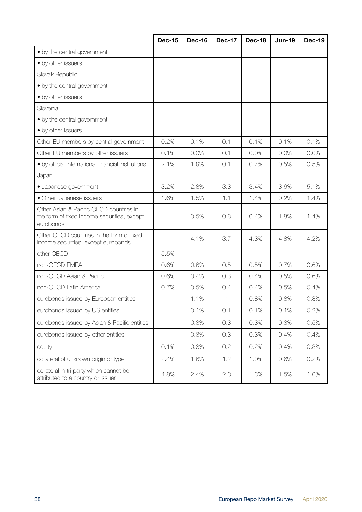|                                                                                                     | <b>Dec-15</b> | <b>Dec-16</b> | <b>Dec-17</b> | <b>Dec-18</b> | $Jun-19$ | <b>Dec-19</b> |
|-----------------------------------------------------------------------------------------------------|---------------|---------------|---------------|---------------|----------|---------------|
| • by the central government                                                                         |               |               |               |               |          |               |
| • by other issuers                                                                                  |               |               |               |               |          |               |
| Slovak Republic                                                                                     |               |               |               |               |          |               |
| • by the central government                                                                         |               |               |               |               |          |               |
| • by other issuers                                                                                  |               |               |               |               |          |               |
| Slovenia                                                                                            |               |               |               |               |          |               |
| • by the central government                                                                         |               |               |               |               |          |               |
| • by other issuers                                                                                  |               |               |               |               |          |               |
| Other EU members by central government                                                              | 0.2%          | 0.1%          | 0.1           | 0.1%          | 0.1%     | 0.1%          |
| Other EU members by other issuers                                                                   | 0.1%          | 0.0%          | 0.1           | 0.0%          | 0.0%     | 0.0%          |
| · by official international financial institutions                                                  | 2.1%          | 1.9%          | 0.1           | 0.7%          | 0.5%     | 0.5%          |
| Japan                                                                                               |               |               |               |               |          |               |
| · Japanese government                                                                               | 3.2%          | 2.8%          | 3.3           | 3.4%          | 3.6%     | 5.1%          |
| • Other Japanese issuers                                                                            | 1.6%          | 1.5%          | 1.1           | 1.4%          | 0.2%     | 1.4%          |
| Other Asian & Pacific OECD countries in<br>the form of fixed income securities, except<br>eurobonds |               | 0.5%          | 0.8           | 0.4%          | 1.8%     | 1.4%          |
| Other OECD countries in the form of fixed<br>income securities, except eurobonds                    |               | 4.1%          | 3.7           | 4.3%          | 4.8%     | 4.2%          |
| other OECD                                                                                          | 5.5%          |               |               |               |          |               |
| non-OECD EMEA                                                                                       | 0.6%          | 0.6%          | 0.5           | 0.5%          | 0.7%     | 0.6%          |
| non-OECD Asian & Pacific                                                                            | 0.6%          | 0.4%          | 0.3           | 0.4%          | 0.5%     | 0.6%          |
| non-OECD Latin America                                                                              | 0.7%          | 0.5%          | 0.4           | 0.4%          | 0.5%     | 0.4%          |
| eurobonds issued by European entities                                                               |               | 1.1%          | 1             | 0.8%          | 0.8%     | 0.8%          |
| eurobonds issued by US entities                                                                     |               | 0.1%          | 0.1           | 0.1%          | 0.1%     | 0.2%          |
| eurobonds issued by Asian & Pacific entities                                                        |               | 0.3%          | 0.3           | 0.3%          | 0.3%     | 0.5%          |
| eurobonds issued by other entities                                                                  |               | 0.3%          | 0.3           | 0.3%          | 0.4%     | 0.4%          |
| equity                                                                                              | 0.1%          | 0.3%          | 0.2           | 0.2%          | 0.4%     | 0.3%          |
| collateral of unknown origin or type                                                                | 2.4%          | 1.6%          | 1.2           | 1.0%          | 0.6%     | 0.2%          |
| collateral in tri-party which cannot be<br>attributed to a country or issuer                        | 4.8%          | 2.4%          | 2.3           | 1.3%          | 1.5%     | 1.6%          |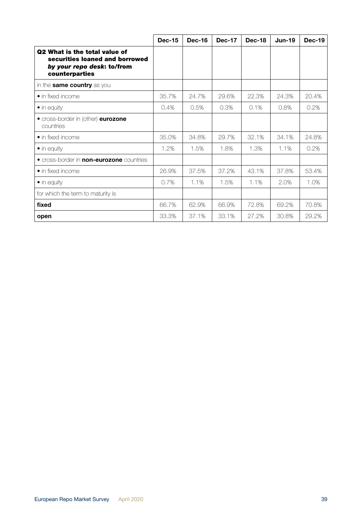|                                                                                                                        | <b>Dec-15</b> | <b>Dec-16</b> | <b>Dec-17</b> | <b>Dec-18</b> | <b>Jun-19</b> | $Dec-19$ |
|------------------------------------------------------------------------------------------------------------------------|---------------|---------------|---------------|---------------|---------------|----------|
| <b>Q2 What is the total value of</b><br>securities loaned and borrowed<br>by your repo desk: to/from<br>counterparties |               |               |               |               |               |          |
| in the <b>same country</b> as you                                                                                      |               |               |               |               |               |          |
| • in fixed income                                                                                                      | 35.7%         | 24.7%         | 29.6%         | 22.3%         | 24.3%         | 20.4%    |
| $\bullet$ in equity                                                                                                    | 0.4%          | 0.5%          | 0.3%          | 0.1%          | 0.8%          | 0.2%     |
| • cross-border in (other) eurozone<br>countries                                                                        |               |               |               |               |               |          |
| • in fixed income                                                                                                      | 35.0%         | 34.8%         | 29.7%         | 32.1%         | 34.1%         | 24.8%    |
| $\bullet$ in equity                                                                                                    | 1.2%          | 1.5%          | 1.8%          | 1.3%          | 1.1%          | 0.2%     |
| • cross-border in <b>non-eurozone</b> countries                                                                        |               |               |               |               |               |          |
| • in fixed income                                                                                                      | 26.9%         | 37.5%         | 37.2%         | 43.1%         | 37.8%         | 53.4%    |
| $\bullet$ in equity                                                                                                    | 0.7%          | 1.1%          | 1.5%          | 1.1%          | 2.0%          | 1.0%     |
| for which the term to maturity is                                                                                      |               |               |               |               |               |          |
| fixed                                                                                                                  | 66.7%         | 62.9%         | 66.9%         | 72.8%         | 69.2%         | 70.8%    |
| open                                                                                                                   | 33.3%         | 37.1%         | 33.1%         | 27.2%         | 30.8%         | 29.2%    |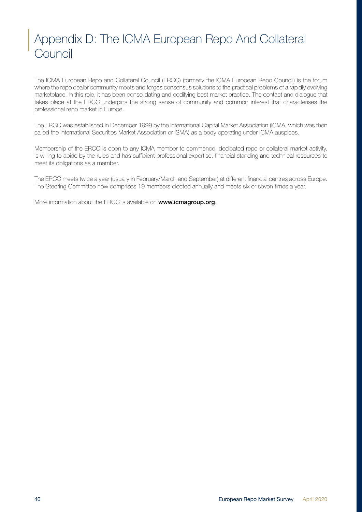## <span id="page-39-0"></span>Appendix D: The ICMA European Repo And Collateral **Council**

The ICMA European Repo and Collateral Council (ERCC) (formerly the ICMA European Repo Council) is the forum where the repo dealer community meets and forges consensus solutions to the practical problems of a rapidly evolving marketplace. In this role, it has been consolidating and codifying best market practice. The contact and dialogue that takes place at the ERCC underpins the strong sense of community and common interest that characterises the professional repo market in Europe.

The ERCC was established in December 1999 by the International Capital Market Association (ICMA, which was then called the International Securities Market Association or ISMA) as a body operating under ICMA auspices.

Membership of the ERCC is open to any ICMA member to commence, dedicated repo or collateral market activity, is willing to abide by the rules and has sufficient professional expertise, financial standing and technical resources to meet its obligations as a member.

The ERCC meets twice a year (usually in February/March and September) at different financial centres across Europe. The Steering Committee now comprises 19 members elected annually and meets six or seven times a year.

More information about the ERCC is available on **[www.icmagroup.org](http://www.icmagroup.org)**.